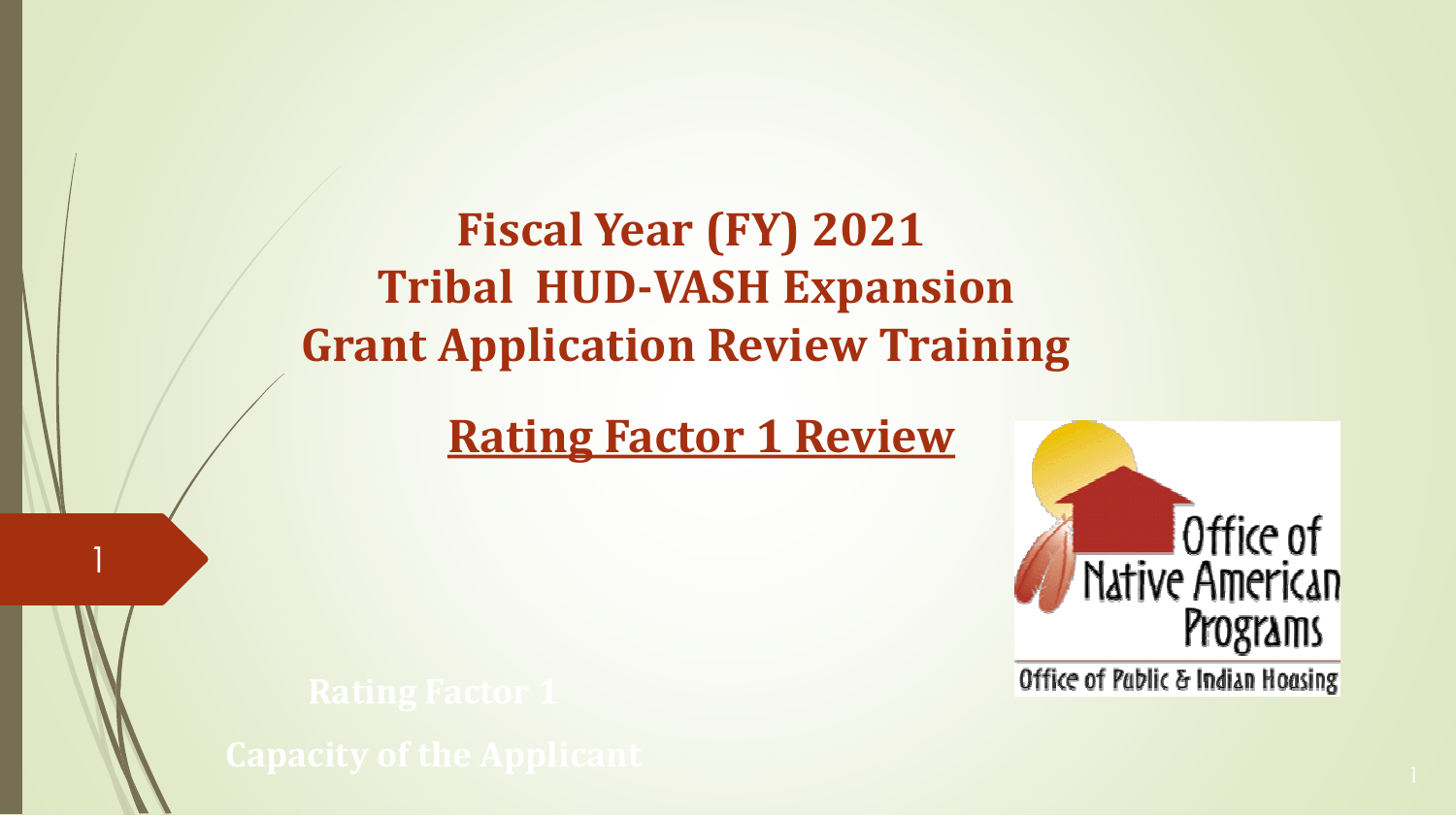**Fiscal Year (FY) 2021 Tribal HUD-VASH Expansion Grant Application Review Training**

**Rating Factor 1 Review**

1



Office of Pablic & Indian Hoasing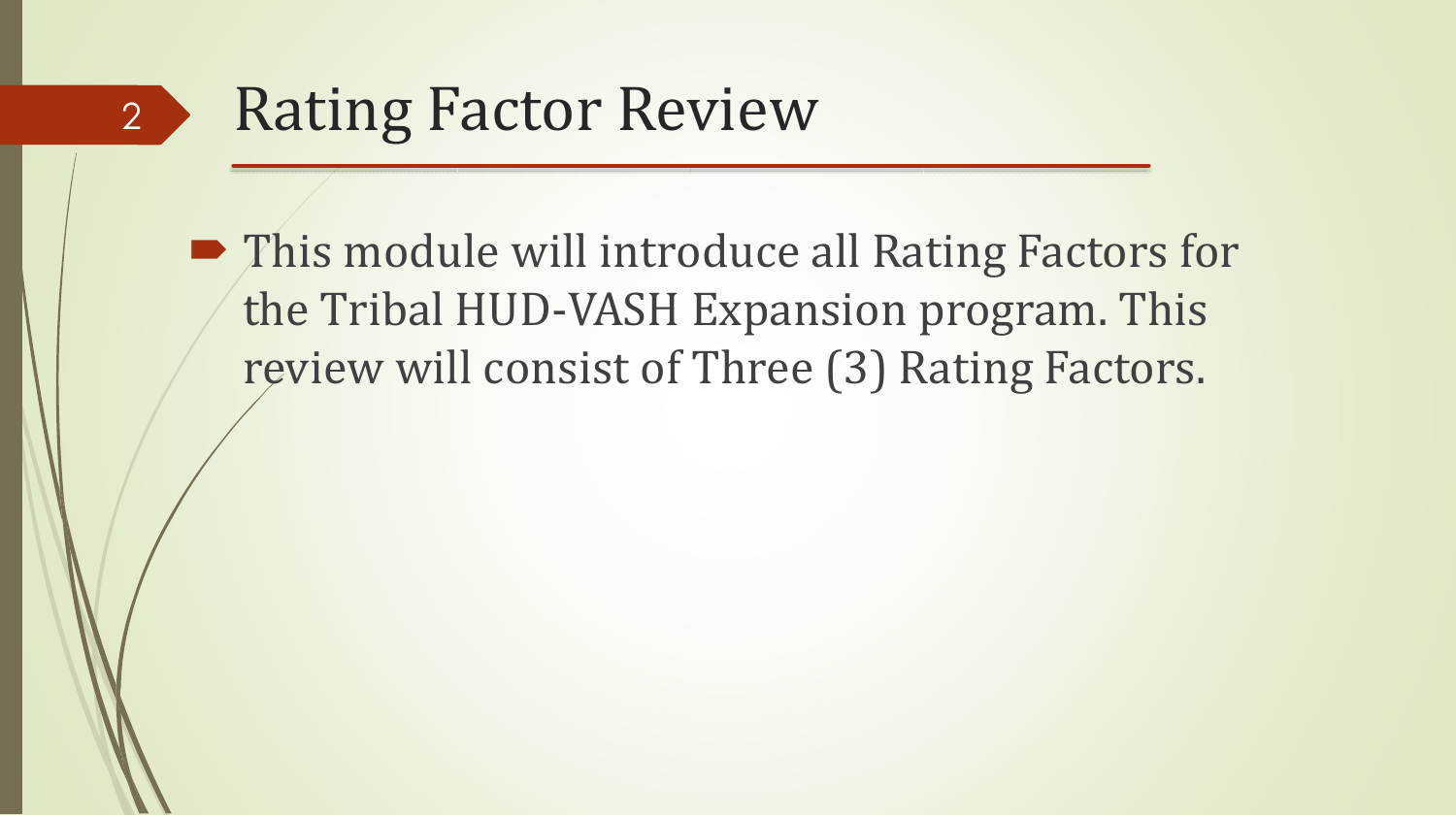#### Rating Factor Review 2

■ This module will introduce all Rating Factors for the Tribal HUD-VASH Expansion program. This review will consist of Three (3) Rating Factors.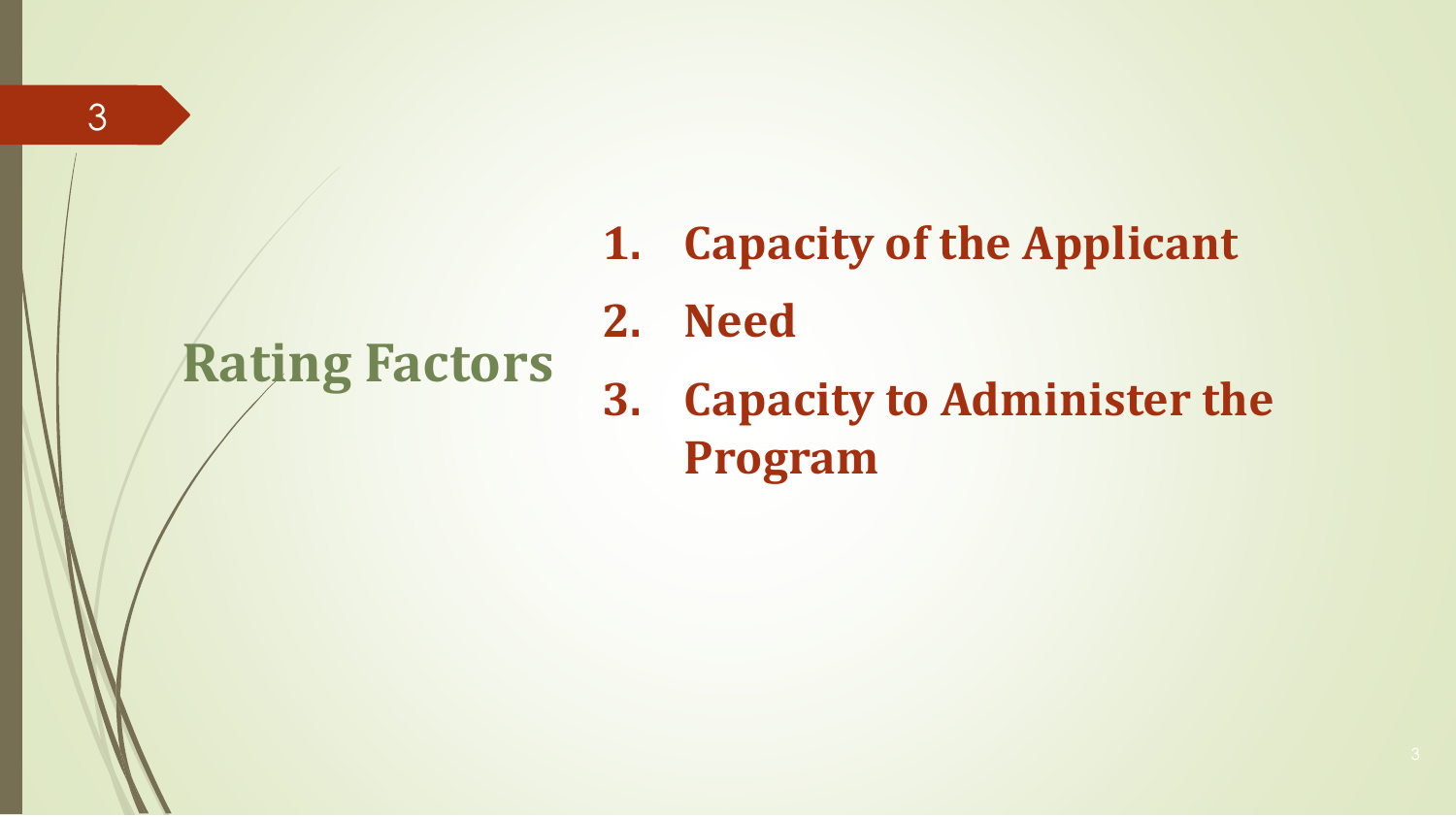## **Rating Factors**

- **1. Capacity of the Applicant**
- **2. Need**
- **3. Capacity to Administer the Program**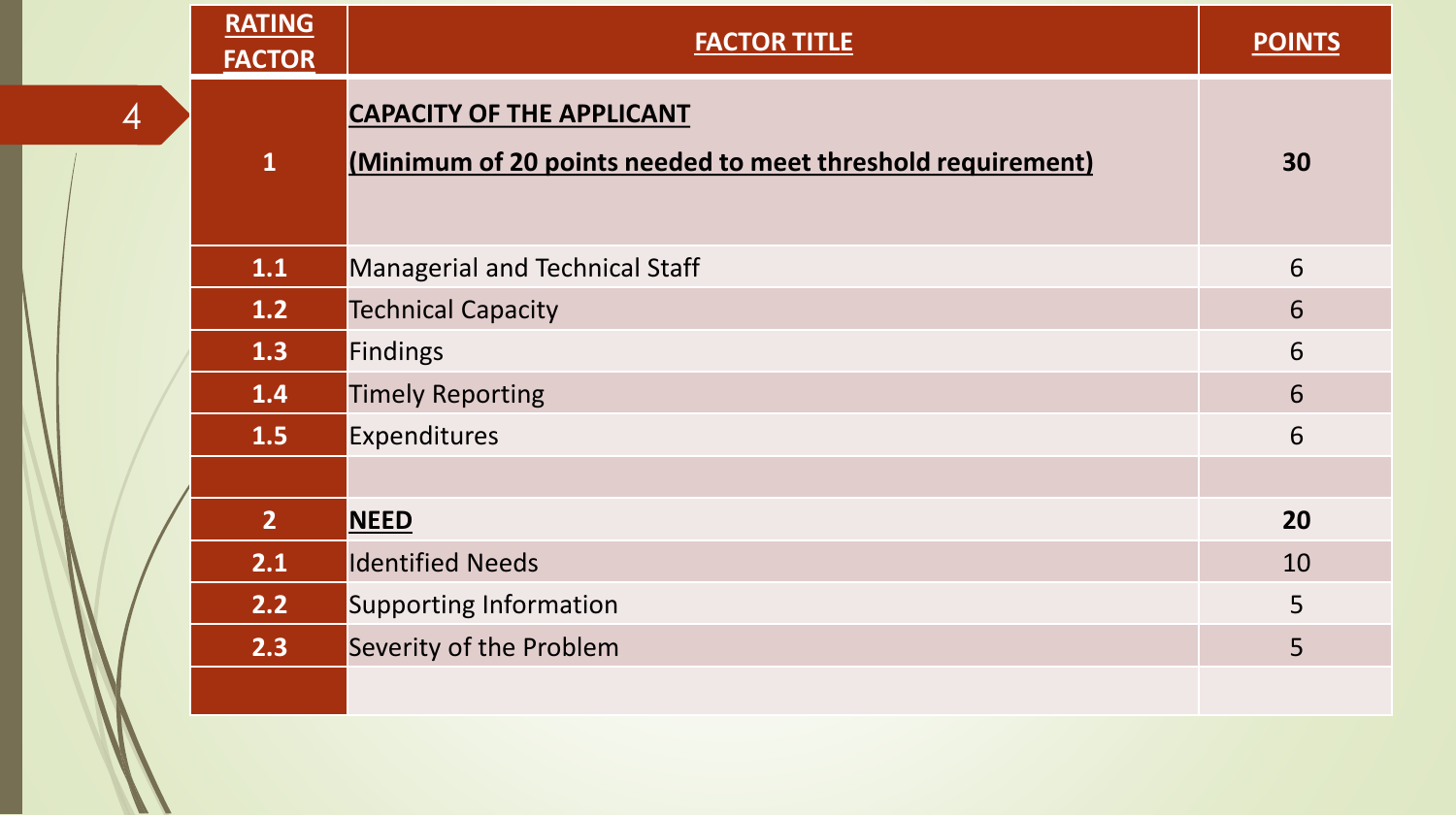|   | <b>RATING</b><br><b>FACTOR</b> | <b>FACTOR TITLE</b>                                                                             | <b>POINTS</b> |
|---|--------------------------------|-------------------------------------------------------------------------------------------------|---------------|
| 4 | $\mathbf{1}$                   | <b>CAPACITY OF THE APPLICANT</b><br>(Minimum of 20 points needed to meet threshold requirement) | 30            |
|   | 1.1                            | Managerial and Technical Staff                                                                  | 6             |
|   | 1.2                            | <b>Technical Capacity</b>                                                                       | 6             |
|   | 1.3                            | Findings                                                                                        | 6             |
|   | $1.4$                          | <b>Timely Reporting</b>                                                                         | 6             |
|   | 1.5                            | Expenditures                                                                                    | 6             |
|   | 2 <sup>1</sup>                 | <b>NEED</b>                                                                                     | 20            |
|   | 2.1                            | <b>Identified Needs</b>                                                                         | 10            |
|   | 2.2                            | <b>Supporting Information</b>                                                                   | 5             |
|   | 2.3                            | Severity of the Problem                                                                         | 5             |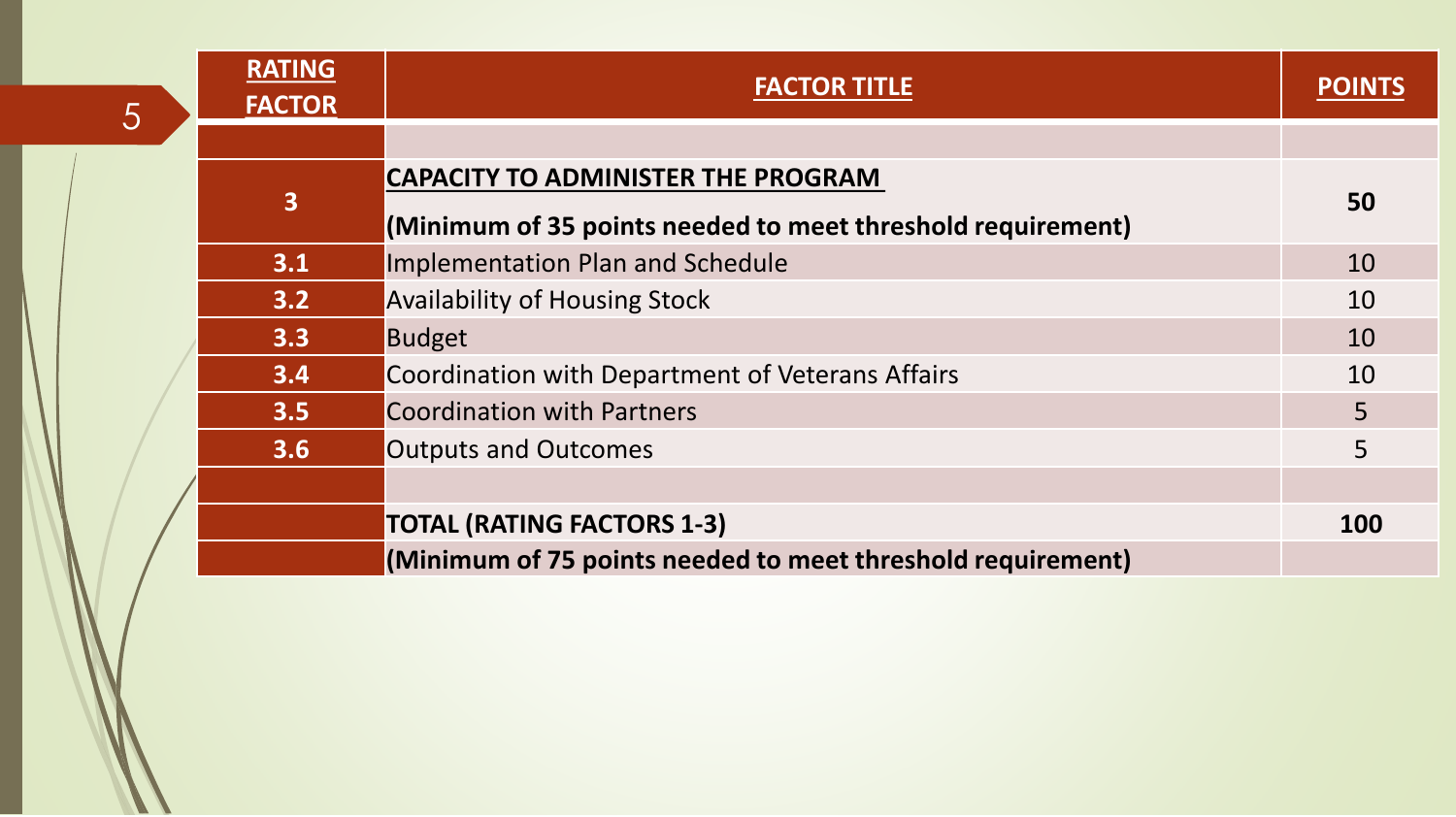| 5 | <b>RATING</b><br><b>FACTOR</b> | <b>FACTOR TITLE</b>                                         | <b>POIN</b> |
|---|--------------------------------|-------------------------------------------------------------|-------------|
|   |                                |                                                             |             |
|   |                                | <b>CAPACITY TO ADMINISTER THE PROGRAM</b>                   |             |
|   | 3                              | (Minimum of 35 points needed to meet threshold requirement) | 50          |
|   | 3.1                            | Implementation Plan and Schedule                            | 10          |
|   | 3.2                            | <b>Availability of Housing Stock</b>                        | 10          |
|   | 3.3                            | <b>Budget</b>                                               | 10          |
|   | 3.4                            | Coordination with Department of Veterans Affairs            | 10          |
|   | 3.5                            | <b>Coordination with Partners</b>                           | 5           |
|   | 3.6                            | <b>Outputs and Outcomes</b>                                 | 5           |
|   |                                |                                                             |             |
|   |                                | <b>TOTAL (RATING FACTORS 1-3)</b>                           | 100         |
|   |                                | (Minimum of 75 points needed to meet threshold requirement) |             |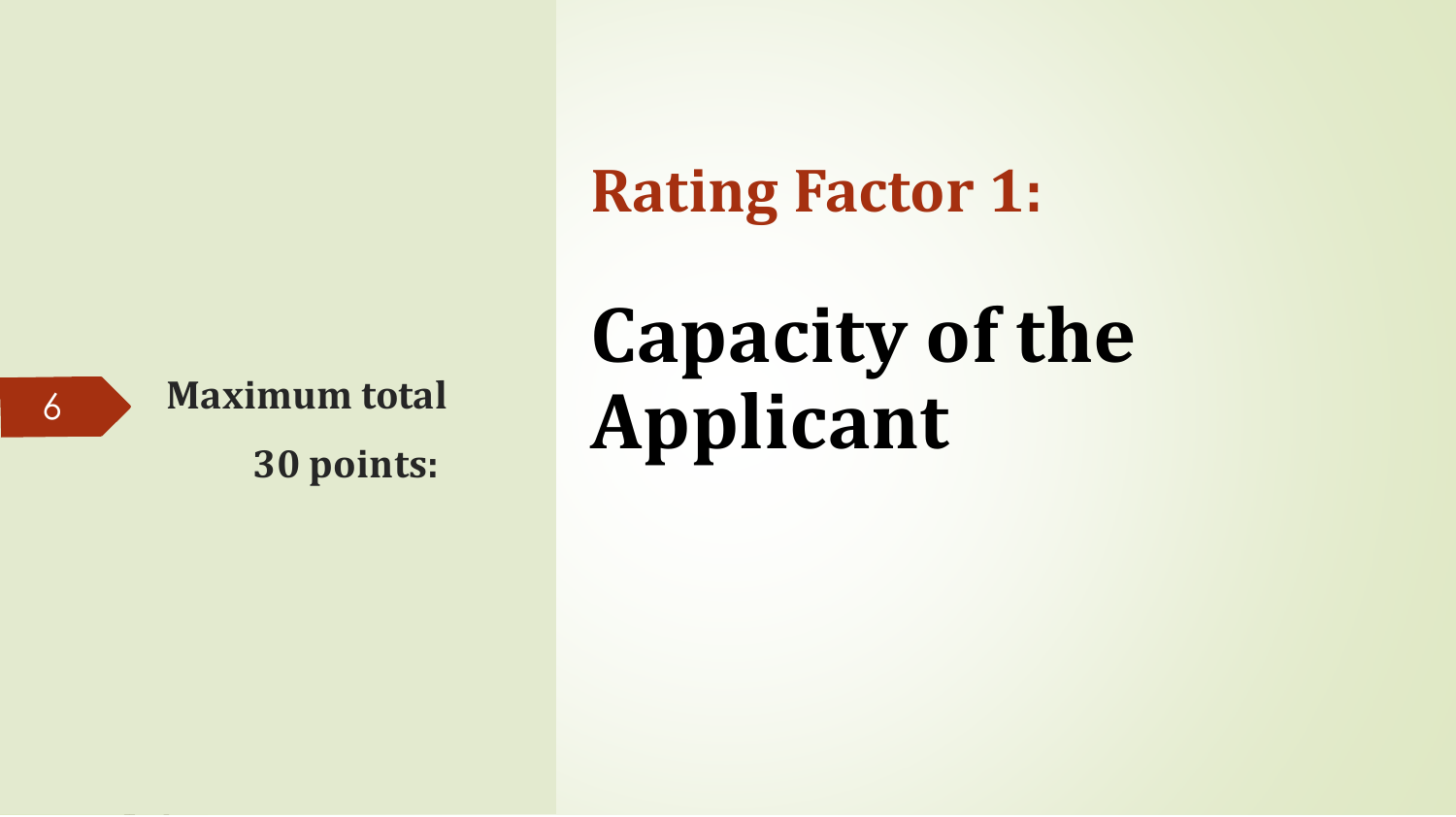

**30 points:**

**Rating Factor 1:** 

# **Capacity of the Maximum total Applicant**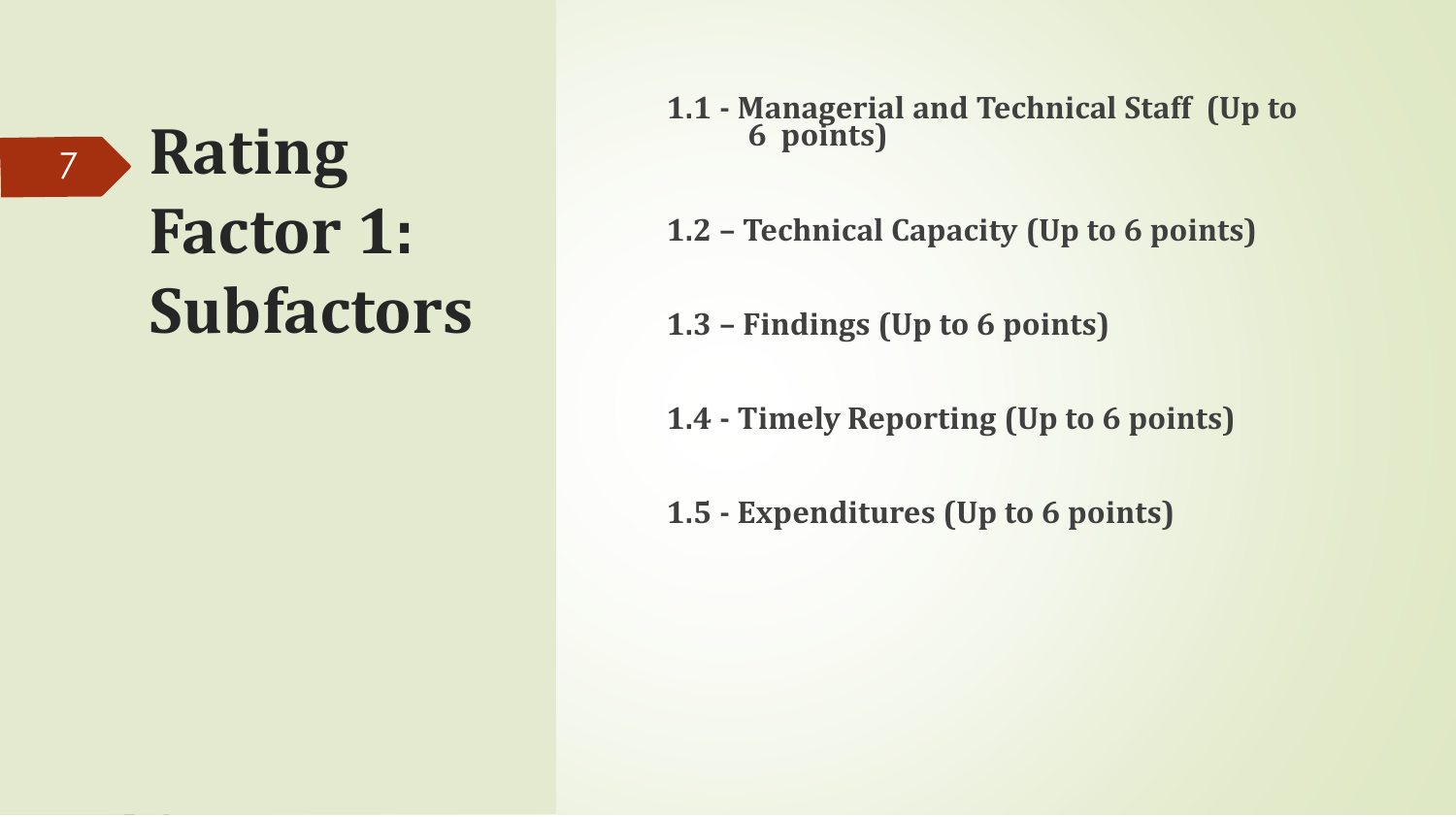### **Rating Factor 1: Subfactors** 7

#### **1.1 - Managerial and Technical Staff (Up to 6 points)**

- **1.2 Technical Capacity (Up to 6 points)**
- **1.3 Findings (Up to 6 points)**
- **1.4 Timely Reporting (Up to 6 points)**
- **1.5 Expenditures (Up to 6 points)**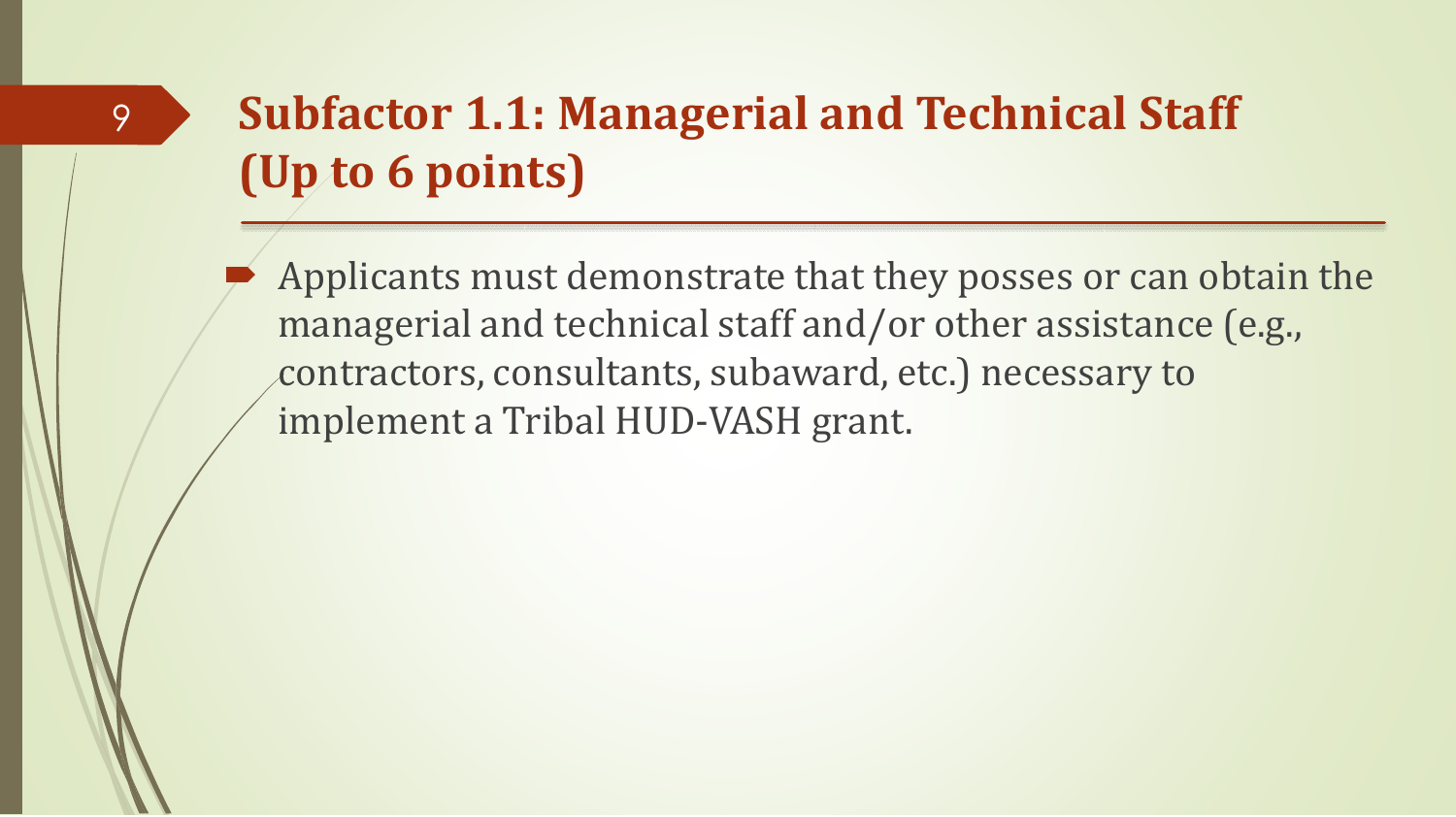9

 Applicants must demonstrate that they posses or can obtain the managerial and technical staff and/or other assistance (e.g., contractors, consultants, subaward, etc.) necessary to implement a Tribal HUD-VASH grant.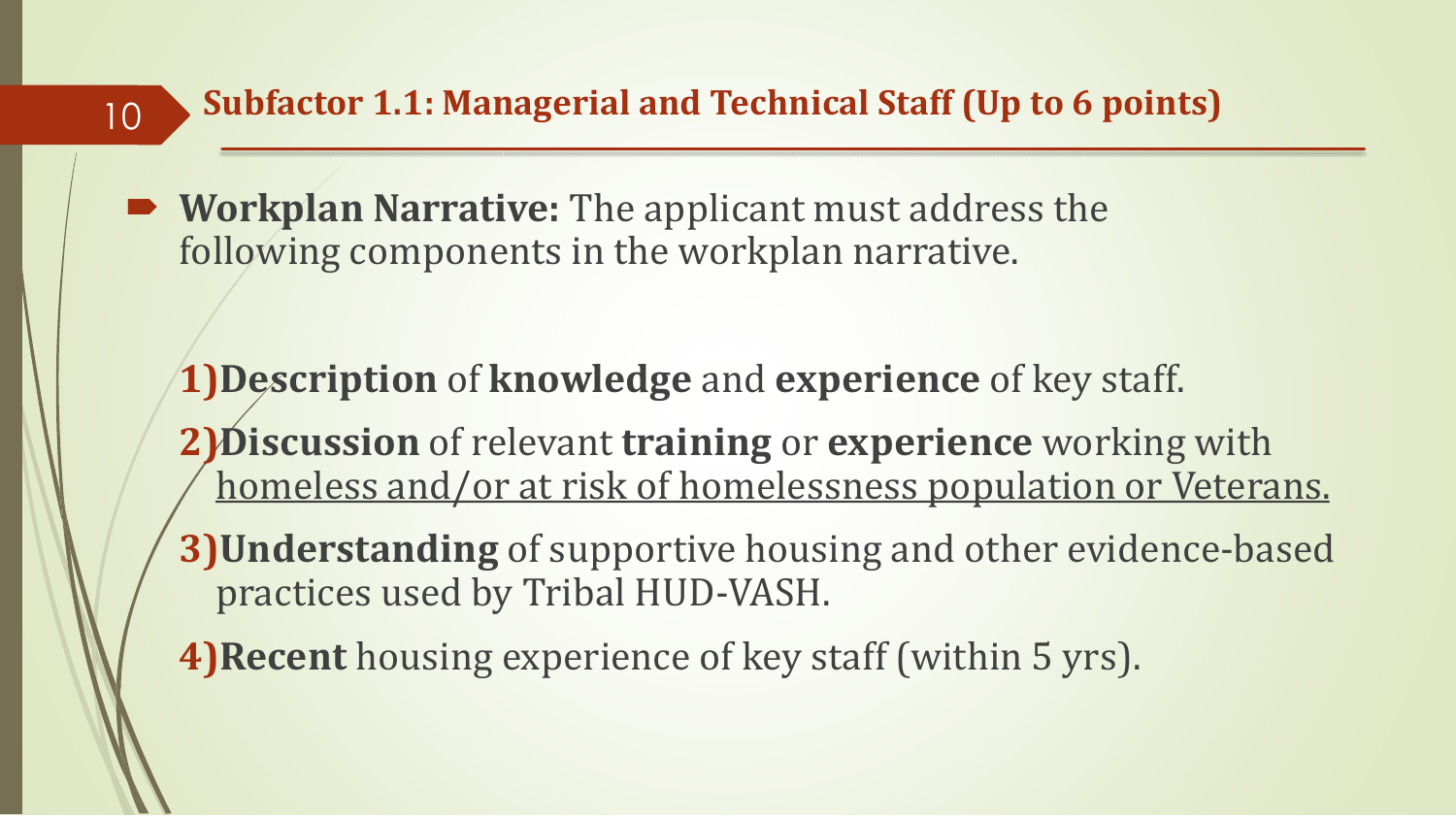**Workplan Narrative:** The applicant must address the following components in the workplan narrative.

10

**1)Description** of **knowledge** and **experience** of key staff.

- **2)Discussion** of relevant **training** or **experience** working with homeless and/or at risk of homelessness population or Veterans.
- **3)Understanding** of supportive housing and other evidence-based practices used by Tribal HUD-VASH.
- **4)Recent** housing experience of key staff (within 5 yrs).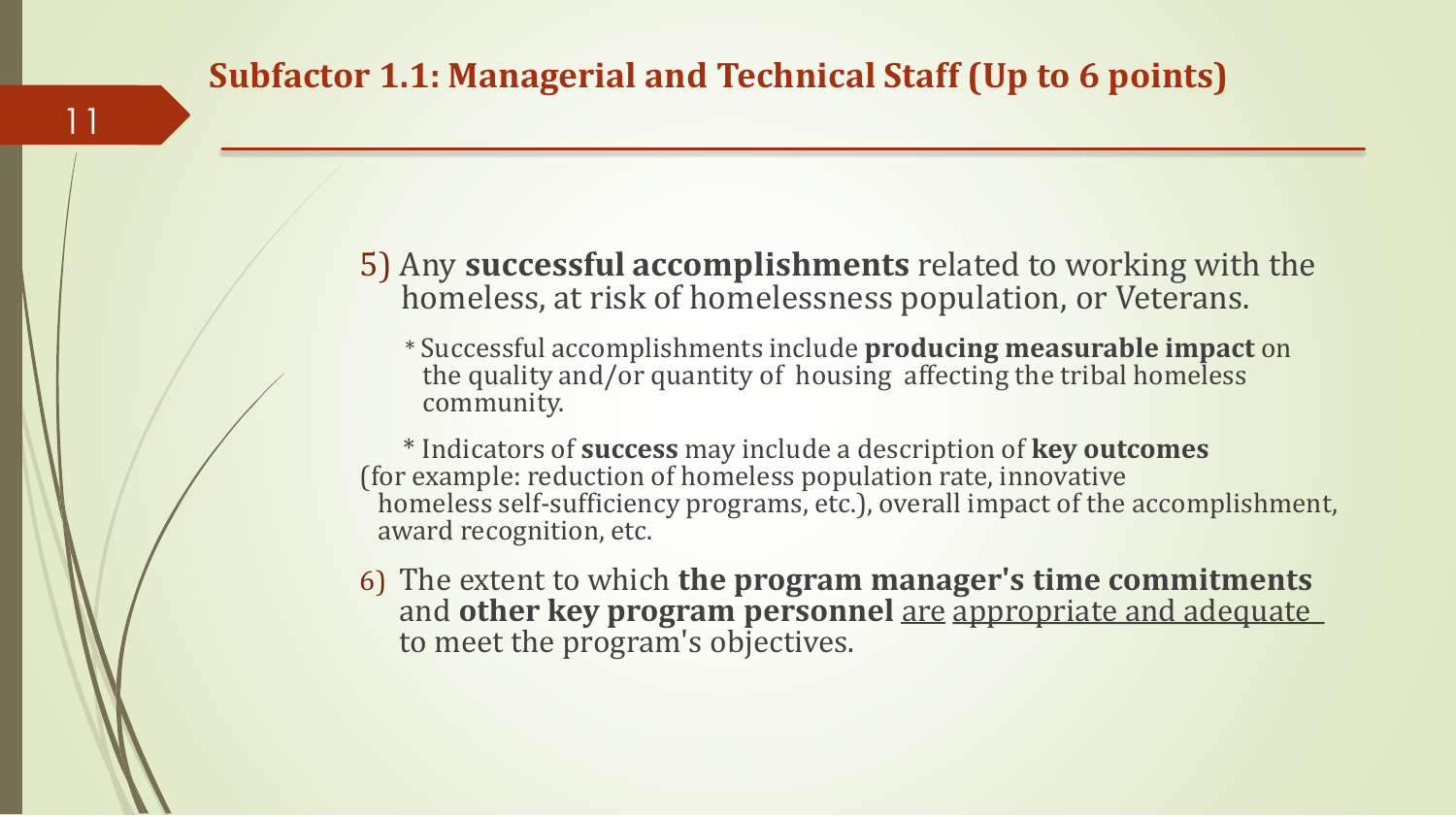11

5) Any **successful accomplishments** related to working with the homeless, at risk of homelessness population, or Veterans.

\* Successful accomplishments include **producing measurable impact** on the quality and/or quantity of housing affecting the tribal homeless community.

\* Indicators of **success** may include a description of **key outcomes**  (for example: reduction of homeless population rate, innovative homeless self-sufficiency programs, etc.), overall impact of the accomplishment, award recognition, etc.

6) The extent to which **the program manager's time commitments**  and **other key program personnel** are appropriate and adequate to meet the program's objectives.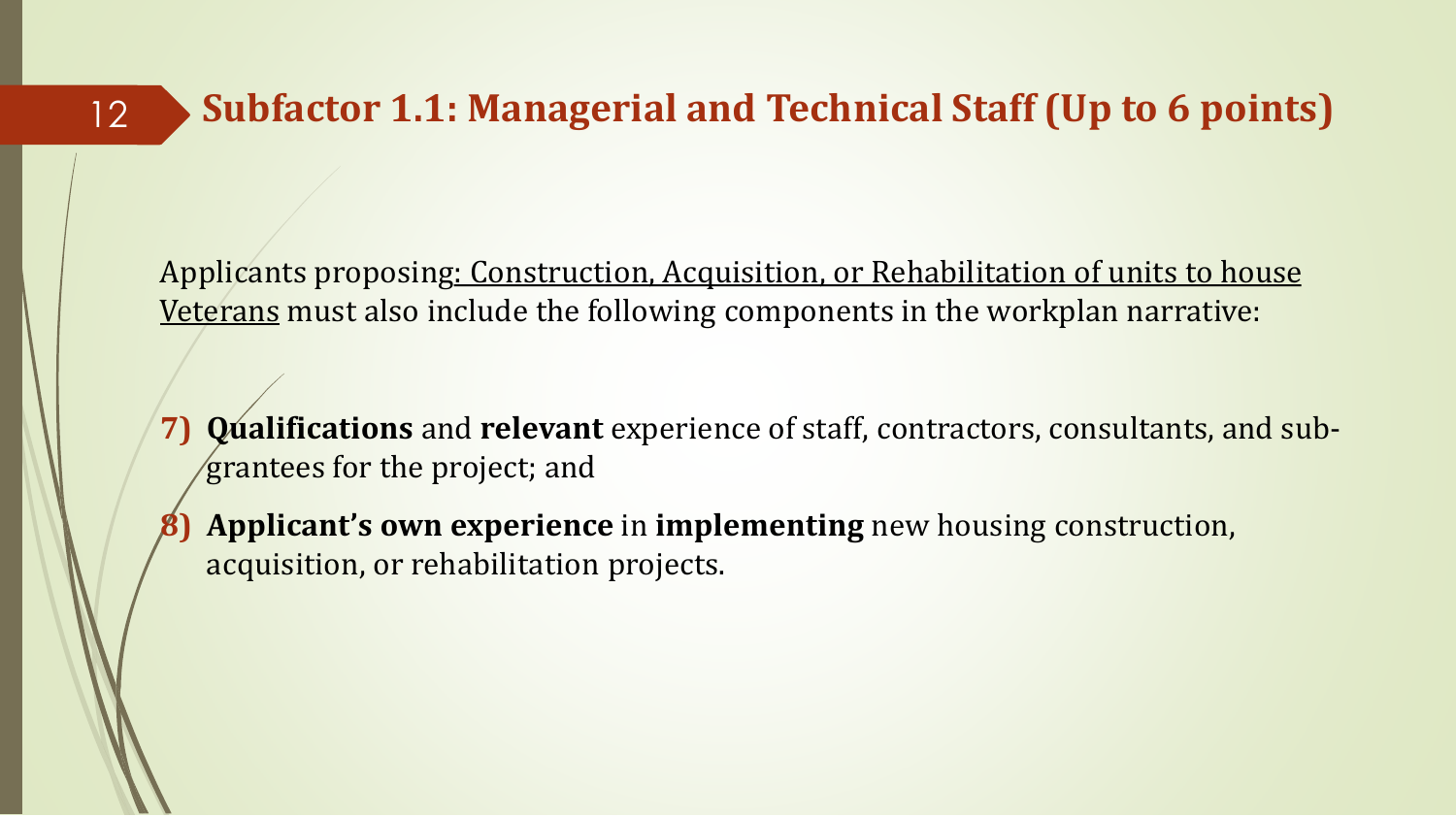12

Applicants proposing: Construction, Acquisition, or Rehabilitation of units to house Veterans must also include the following components in the workplan narrative:

- **7) Qualifications** and **relevant** experience of staff, contractors, consultants, and subgrantees for the project; and
- **8) Applicant's own experience** in **implementing** new housing construction, acquisition, or rehabilitation projects.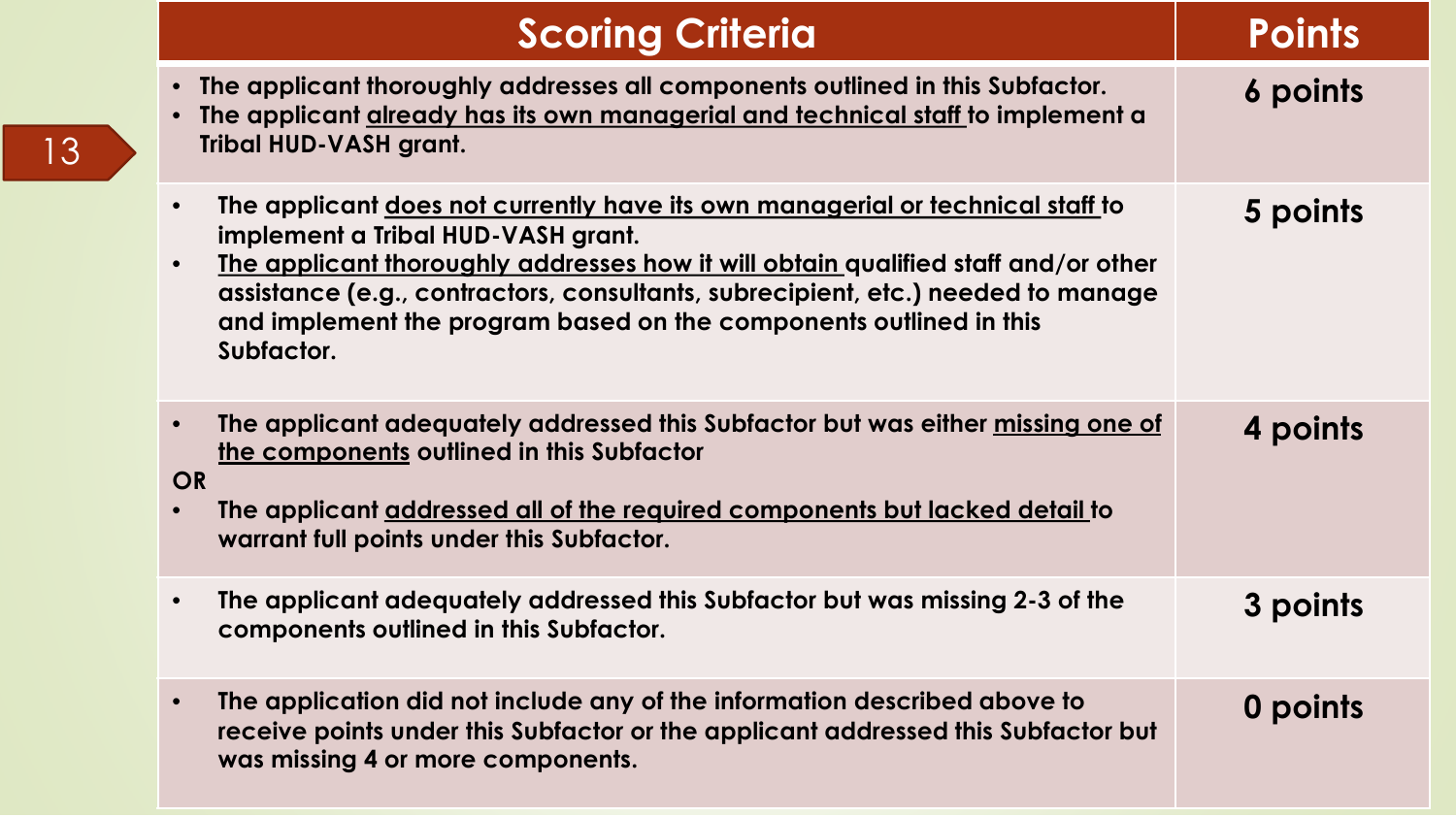| <b>Scoring Criteria</b>                                                                                                                                                                                                                                                                                                                                                                                      | <b>Points</b> |
|--------------------------------------------------------------------------------------------------------------------------------------------------------------------------------------------------------------------------------------------------------------------------------------------------------------------------------------------------------------------------------------------------------------|---------------|
| The applicant thoroughly addresses all components outlined in this Subfactor.<br>The applicant already has its own managerial and technical staff to implement a<br><b>Tribal HUD-VASH grant.</b>                                                                                                                                                                                                            | 6 points      |
| The applicant does not currently have its own managerial or technical staff to<br>$\bullet$<br>implement a Tribal HUD-VASH grant.<br>The applicant thoroughly addresses how it will obtain qualified staff and/or other<br>$\bullet$<br>assistance (e.g., contractors, consultants, subrecipient, etc.) needed to manage<br>and implement the program based on the components outlined in this<br>Subfactor. | 5 points      |
| The applicant adequately addressed this Subfactor but was either missing one of<br>$\bullet$<br>the components outlined in this Subfactor<br><b>OR</b><br>The applicant addressed all of the required components but lacked detail to<br>$\bullet$<br>warrant full points under this Subfactor.                                                                                                              | 4 points      |
| The applicant adequately addressed this Subfactor but was missing 2-3 of the<br>$\bullet$<br>components outlined in this Subfactor.                                                                                                                                                                                                                                                                          | 3 points      |
| The application did not include any of the information described above to<br>$\bullet$<br>receive points under this Subfactor or the applicant addressed this Subfactor but<br>was missing 4 or more components.                                                                                                                                                                                             | 0 points      |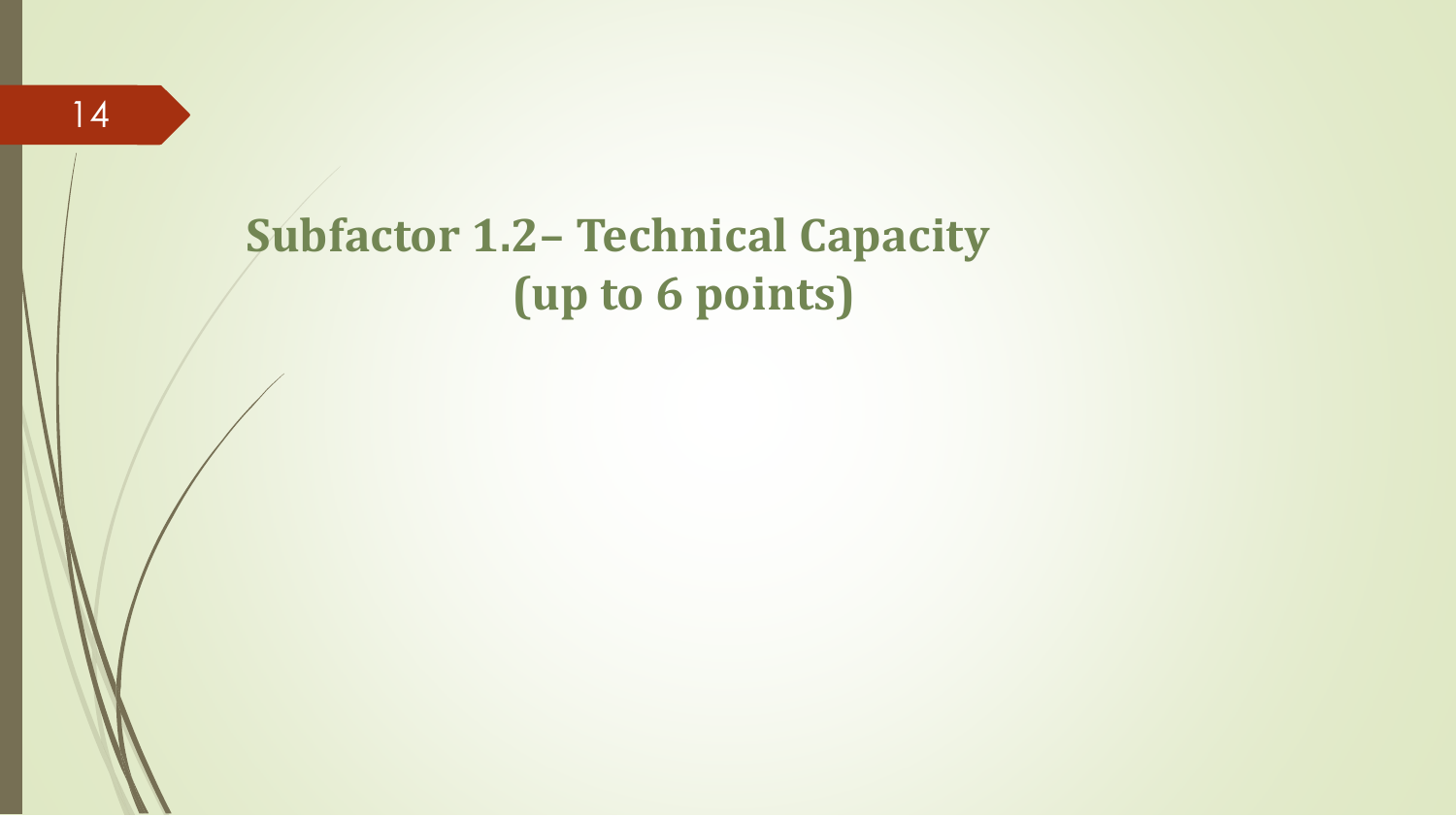### **Subfactor 1.2– Technical Capacity (up to 6 points)**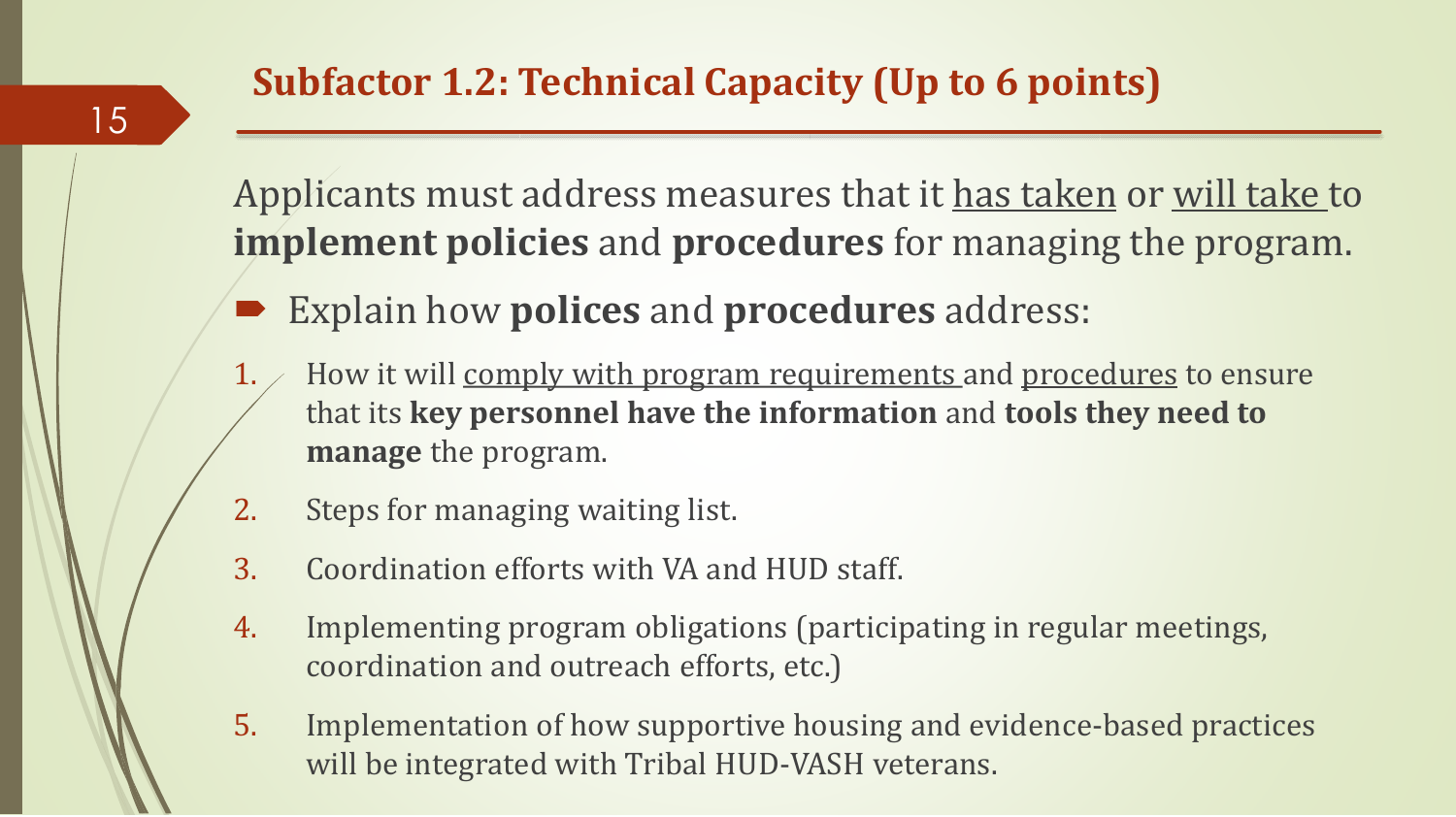Applicants must address measures that it has taken or will take to **implement policies** and **procedures** for managing the program.

- Explain how **polices** and **procedures** address:
- $1.$  How it will comply with program requirements and procedures to ensure that its **key personnel have the information** and **tools they need to manage** the program.
- 2. Steps for managing waiting list.
- 3. Coordination efforts with VA and HUD staff.
- 4. Implementing program obligations (participating in regular meetings, coordination and outreach efforts, etc.)
- 5. Implementation of how supportive housing and evidence-based practices will be integrated with Tribal HUD-VASH veterans.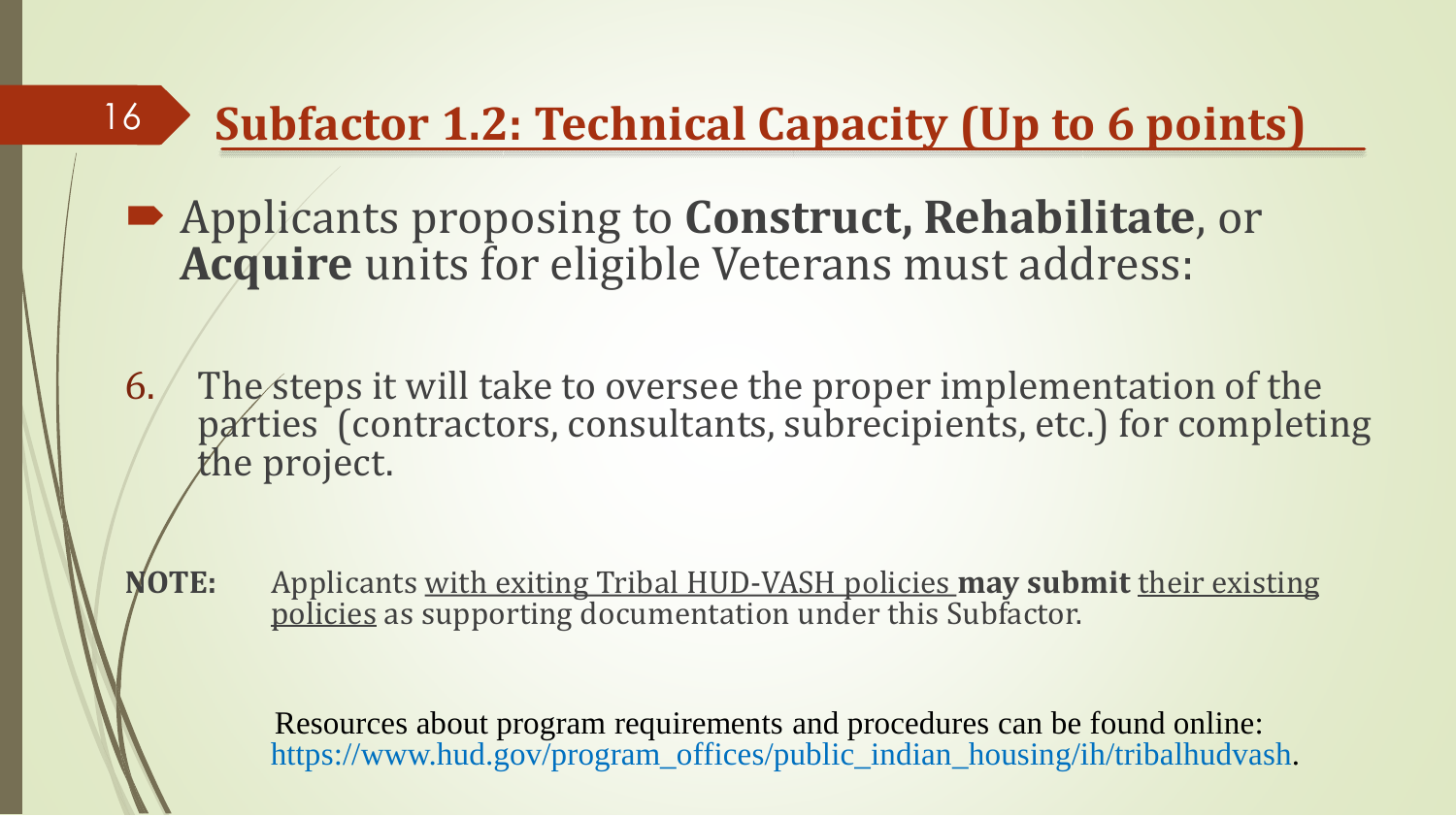### **Subfactor 1.2: Technical Capacity (Up to 6 points)**

 Applicants proposing to **Construct, Rehabilitate**, or **Acquire** units for eligible Veterans must address:

16

- 6. The steps it will take to oversee the proper implementation of the parties (contractors, consultants, subrecipients, etc.) for completing the project.
- **NOTE:** Applicants with exiting Tribal HUD-VASH policies **may submit** their existing policies as supporting documentation under this Subfactor.

Resources about program requirements and procedures can be found online: https://www.hud.gov/program\_offices/public\_indian\_housing/ih/tribalhudvash.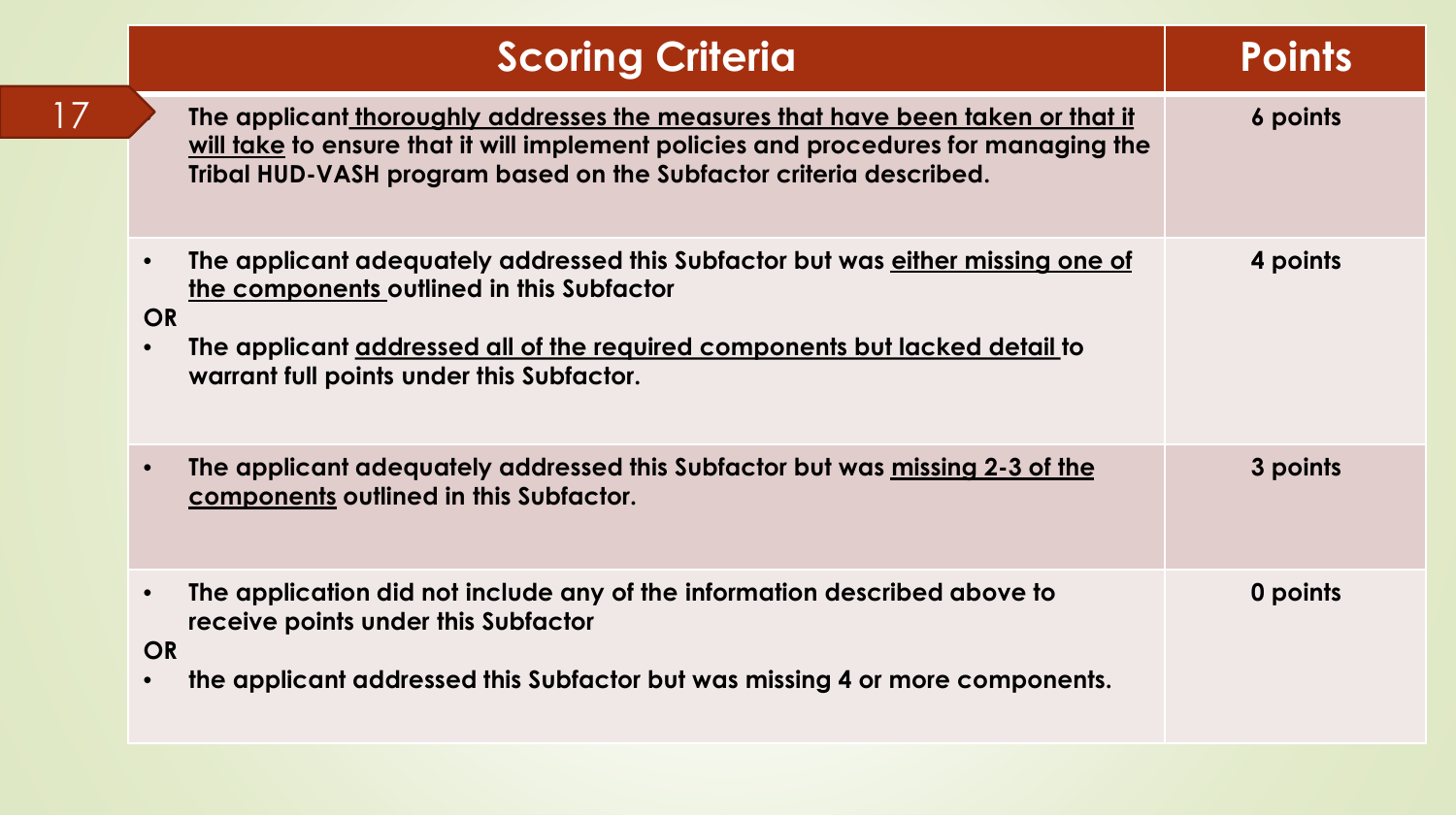| <b>Scoring Criteria</b>                                                                                                                                                                                                                                                            | <b>Points</b> |
|------------------------------------------------------------------------------------------------------------------------------------------------------------------------------------------------------------------------------------------------------------------------------------|---------------|
| The applicant thoroughly addresses the measures that have been taken or that it<br>will take to ensure that it will implement policies and procedures for managing the<br>Tribal HUD-VASH program based on the Subfactor criteria described.                                       | 6 points      |
| The applicant adequately addressed this Subfactor but was either missing one of<br>$\bullet$<br>the components outlined in this Subfactor<br><b>OR</b><br>The applicant addressed all of the required components but lacked detail to<br>warrant full points under this Subfactor. | 4 points      |
| The applicant adequately addressed this Subfactor but was <u>missing 2-3 of the</u><br>components outlined in this Subfactor.                                                                                                                                                      | 3 points      |
| The application did not include any of the information described above to<br>receive points under this Subfactor<br><b>OR</b><br>the applicant addressed this Subfactor but was missing 4 or more components.                                                                      | 0 points      |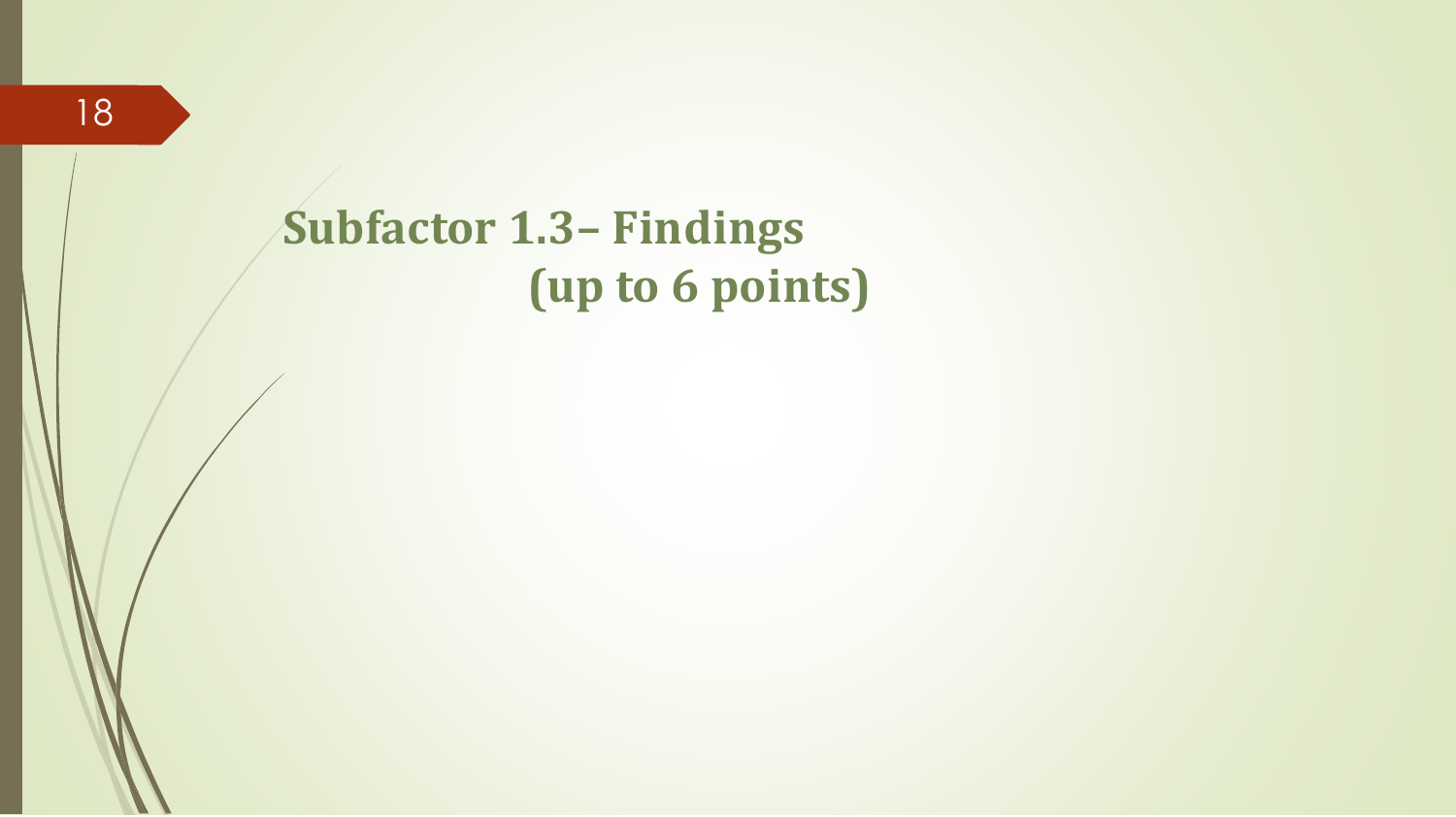### **Subfactor 1.3– Findings (up to 6 points)**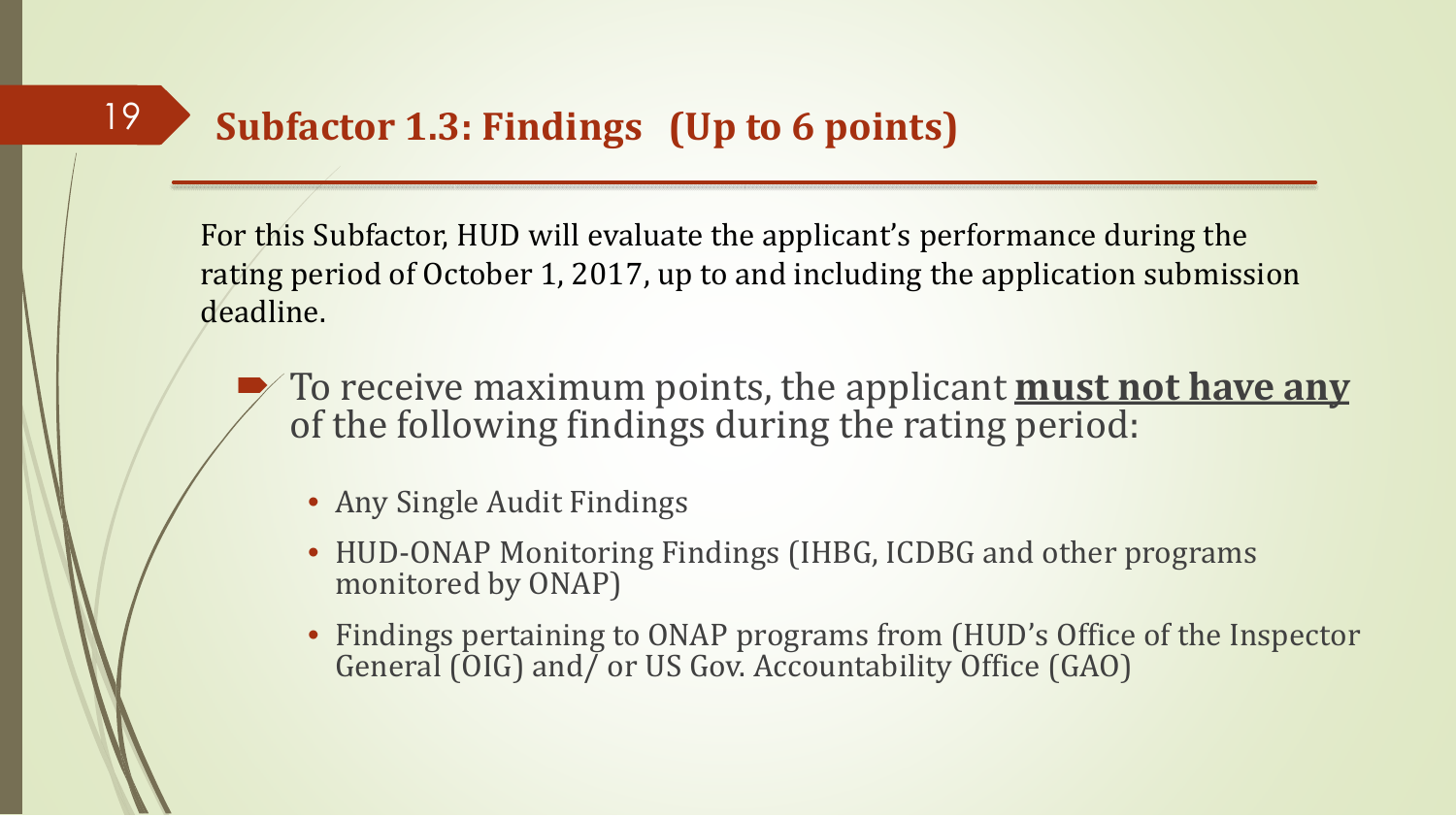### **Subfactor 1.3: Findings (Up to 6 points)**

For this Subfactor, HUD will evaluate the applicant's performance during the rating period of October 1, 2017, up to and including the application submission deadline.

- To receive maximum points, the applicant **must not have any** of the following findings during the rating period:
	- Any Single Audit Findings
	- HUD-ONAP Monitoring Findings (IHBG, ICDBG and other programs monitored by ONAP)
	- Findings pertaining to ONAP programs from (HUD's Office of the Inspector General (OIG) and/ or US Gov. Accountability Office (GAO)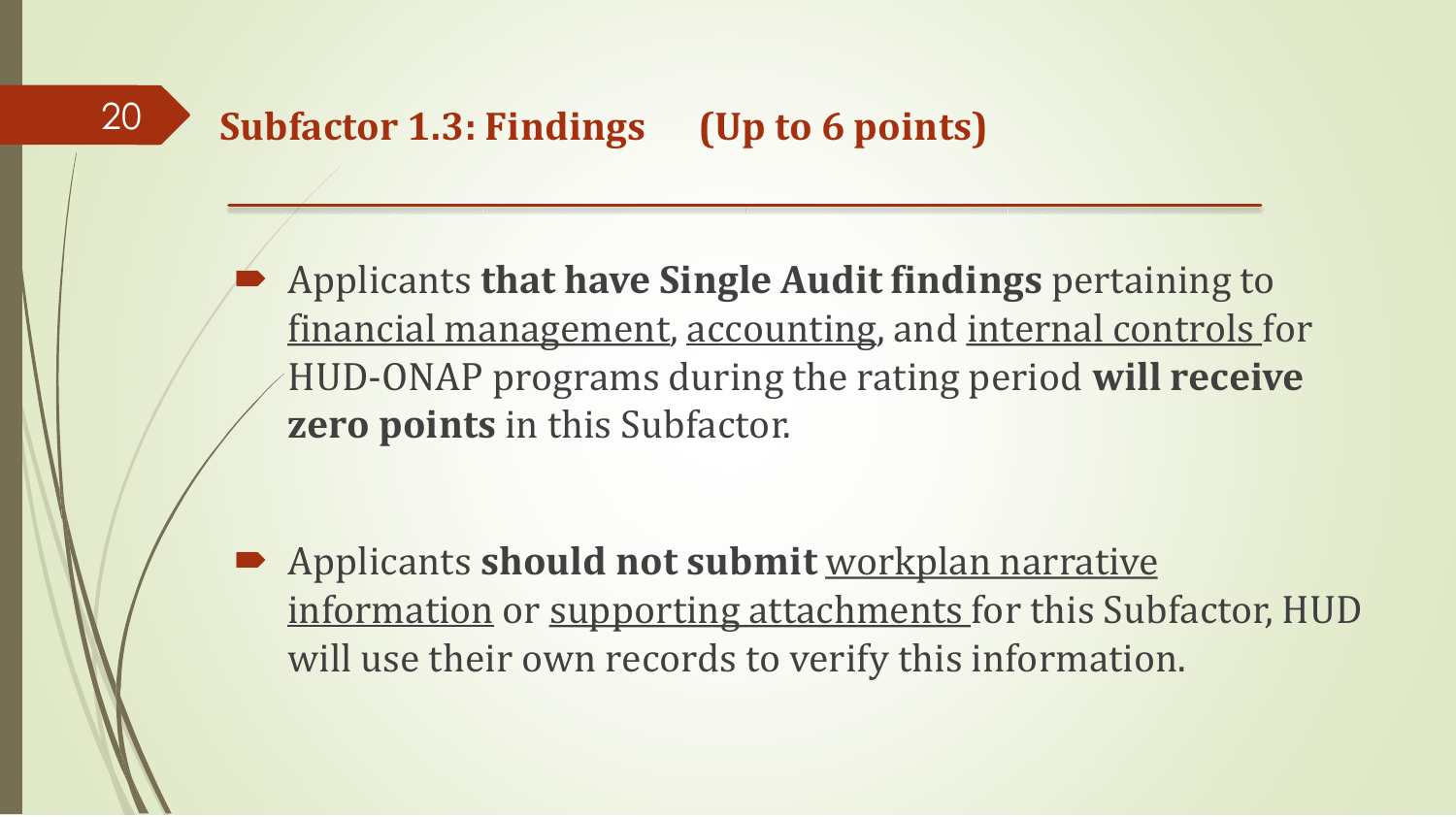Applicants **that have Single Audit findings** pertaining to financial management, accounting, and internal controls for HUD-ONAP programs during the rating period **will receive zero points** in this Subfactor.

 Applicants **should not submit** workplan narrative information or supporting attachments for this Subfactor, HUD will use their own records to verify this information.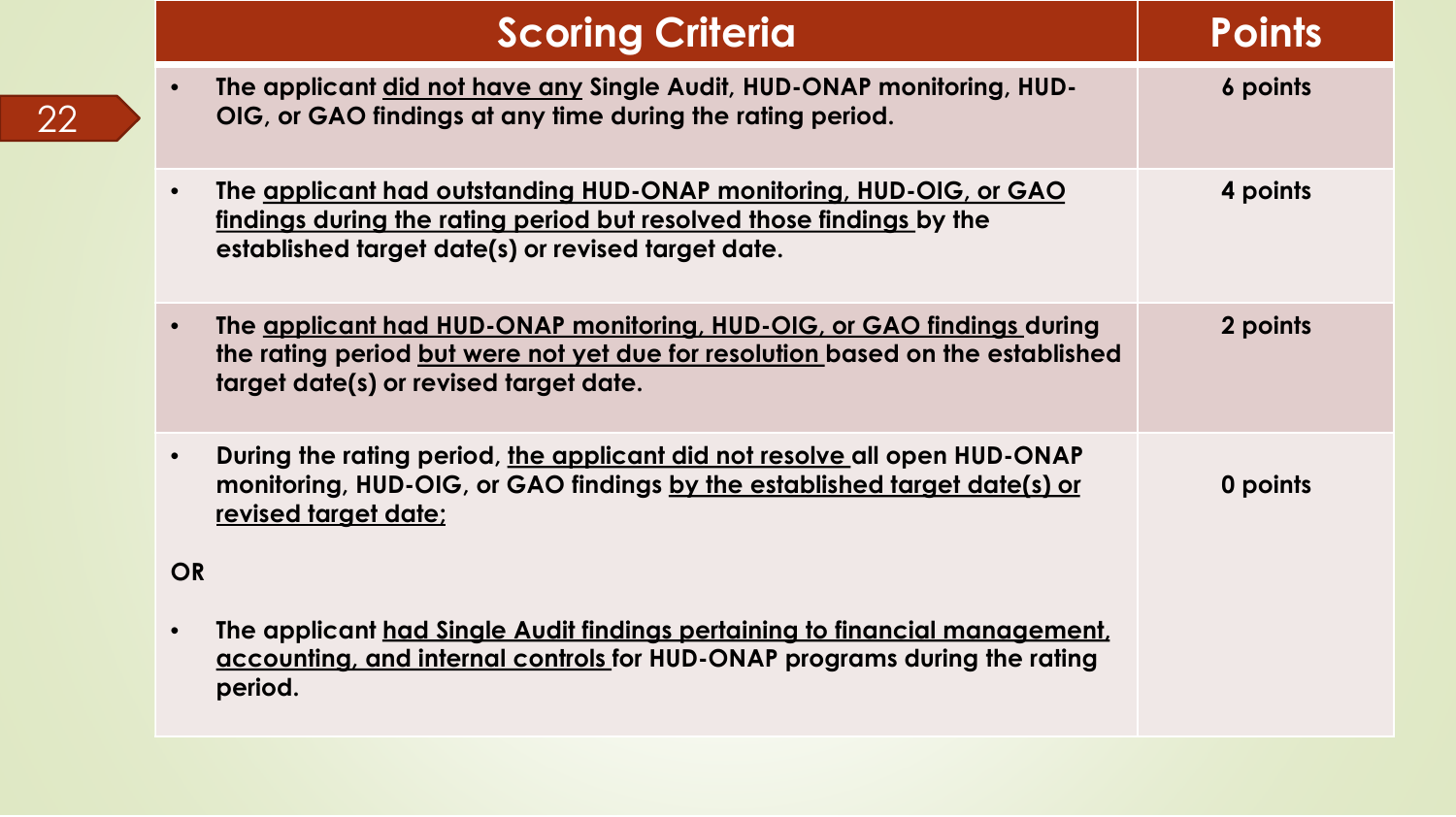|           | <b>Scoring Criteria</b>                                                                                                                                                                            | <b>Points</b> |
|-----------|----------------------------------------------------------------------------------------------------------------------------------------------------------------------------------------------------|---------------|
|           | The applicant did not have any Single Audit, HUD-ONAP monitoring, HUD-<br>OIG, or GAO findings at any time during the rating period.                                                               | 6 points      |
|           | The applicant had outstanding HUD-ONAP monitoring, HUD-OIG, or GAO<br>findings during the rating period but resolved those findings by the<br>established target date(s) or revised target date.   | 4 points      |
|           | The applicant had HUD-ONAP monitoring, HUD-OIG, or GAO findings during<br>the rating period but were not yet due for resolution based on the established<br>target date(s) or revised target date. | 2 points      |
|           | During the rating period, the applicant did not resolve all open HUD-ONAP<br>monitoring, HUD-OIG, or GAO findings by the established target date(s) or<br>revised target date:                     | 0 points      |
| <b>OR</b> |                                                                                                                                                                                                    |               |
|           | The applicant had Single Audit findings pertaining to financial management.<br>accounting, and internal controls for HUD-ONAP programs during the rating<br>period.                                |               |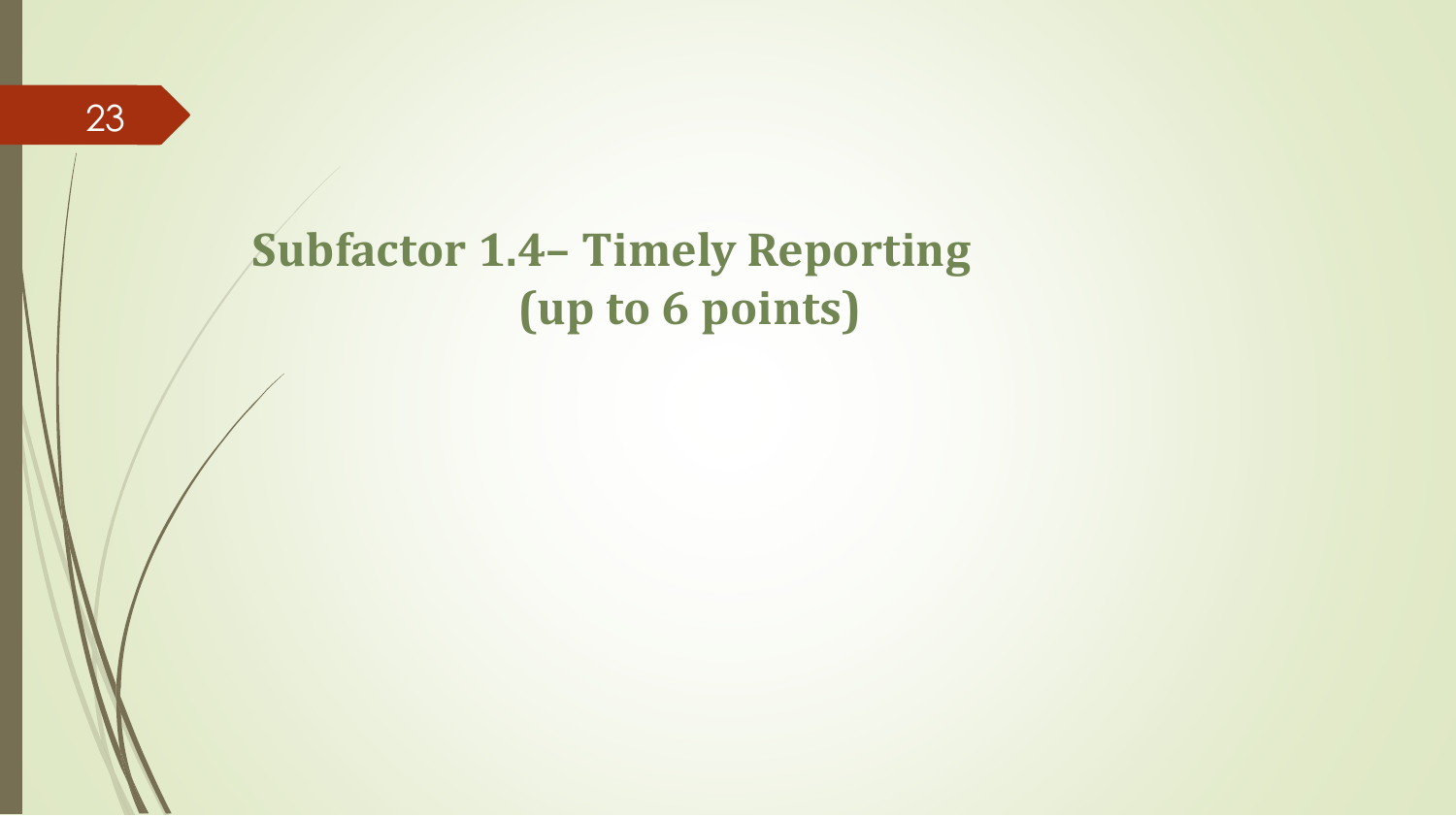### **Subfactor 1.4– Timely Reporting (up to 6 points)**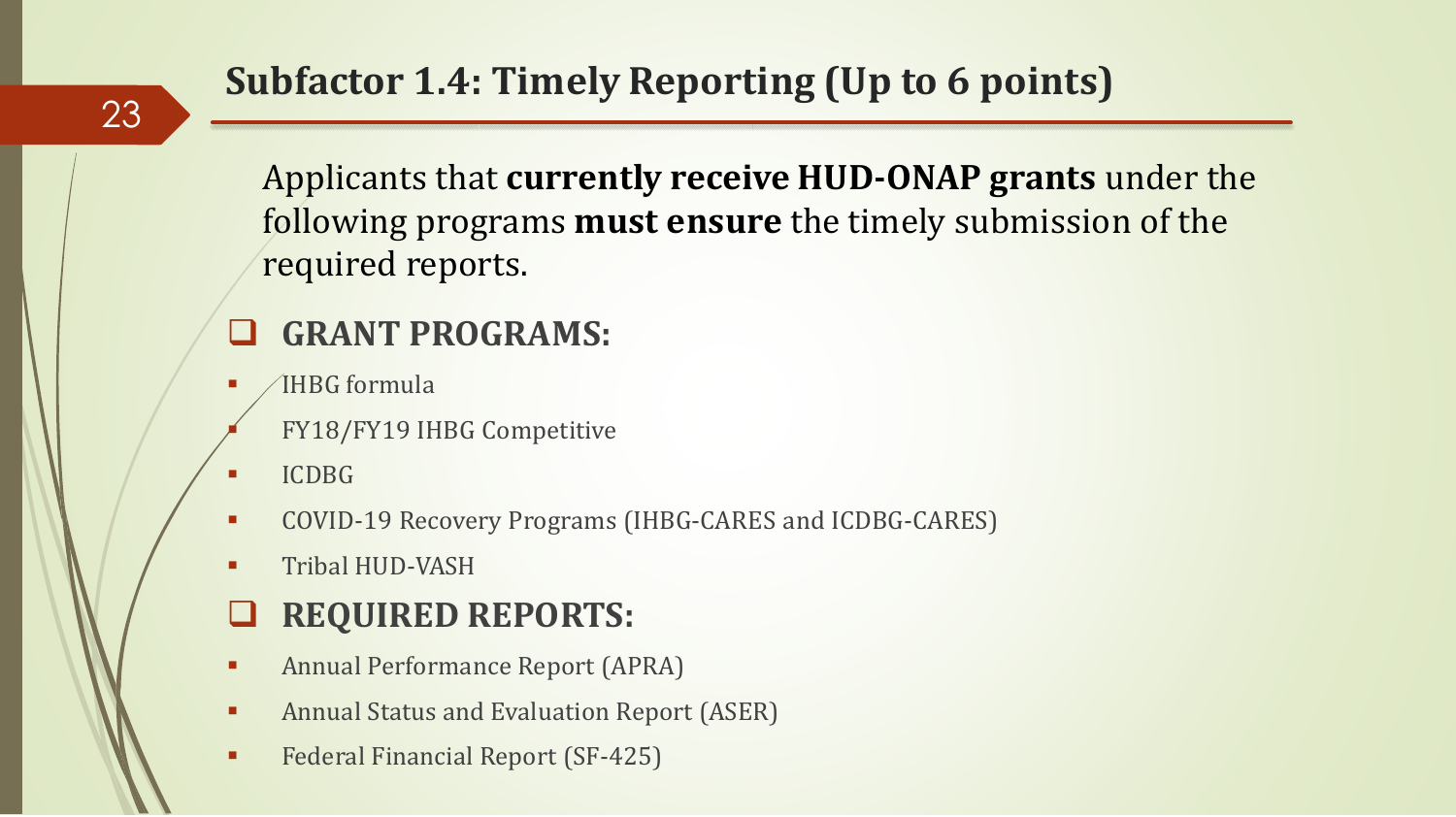### **Subfactor 1.4: Timely Reporting (Up to 6 points)**

Applicants that **currently receive HUD-ONAP grants** under the following programs **must ensure** the timely submission of the required reports.

#### **GRANT PROGRAMS:**

- IHBG formula
- FY18/FY19 IHBG Competitive
- ICDBG

23

- COVID-19 Recovery Programs (IHBG-CARES and ICDBG-CARES)
- Tribal HUD-VASH

#### **REQUIRED REPORTS:**

- Annual Performance Report (APRA)
- Annual Status and Evaluation Report (ASER)
- Federal Financial Report (SF-425)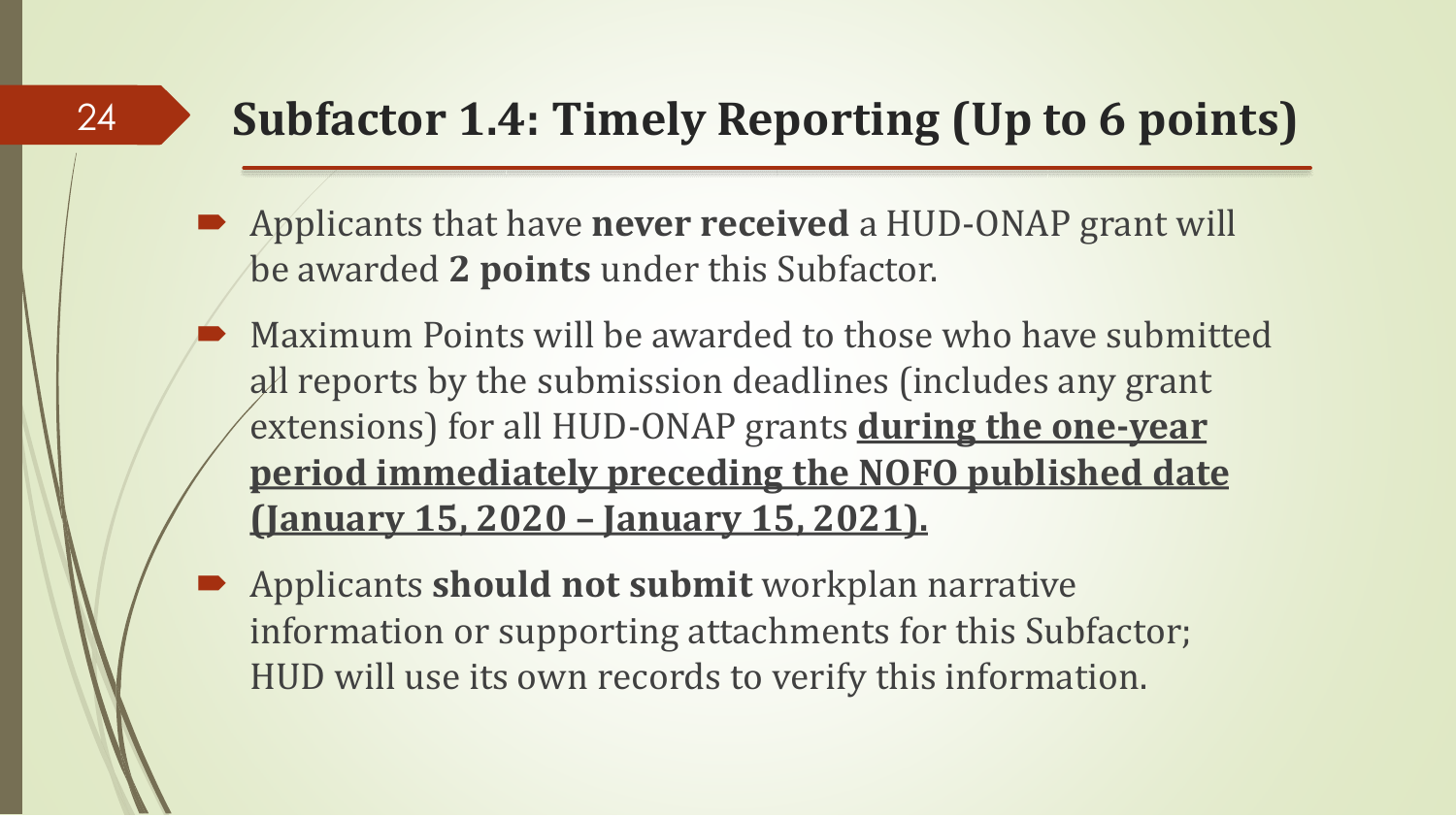### **Subfactor 1.4: Timely Reporting (Up to 6 points)**

 Applicants that have **never received** a HUD-ONAP grant will be awarded **2 points** under this Subfactor.

- Maximum Points will be awarded to those who have submitted all reports by the submission deadlines (includes any grant extensions) for all HUD-ONAP grants **during the one-year period immediately preceding the NOFO published date (January 15, 2020 – January 15, 2021).**
- Applicants **should not submit** workplan narrative information or supporting attachments for this Subfactor; HUD will use its own records to verify this information.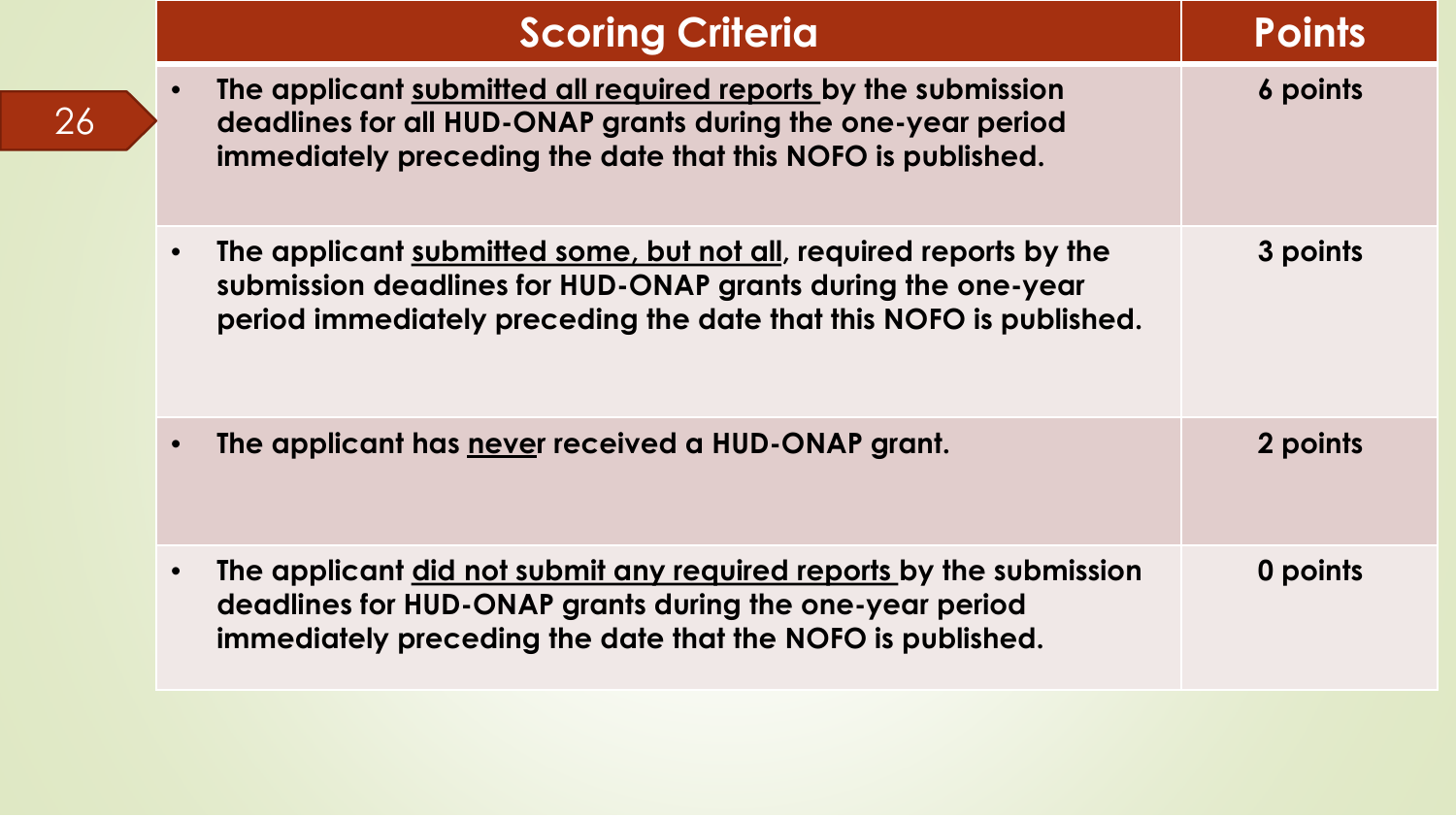|           | <b>Scoring Criteria</b>                                                                                                                                                                                  | Points   |
|-----------|----------------------------------------------------------------------------------------------------------------------------------------------------------------------------------------------------------|----------|
| $\bullet$ | The applicant submitted all required reports by the submission<br>deadlines for all HUD-ONAP grants during the one-year period<br>immediately preceding the date that this NOFO is published.            | 6 points |
| $\bullet$ | The applicant submitted some, but not all, required reports by the<br>submission deadlines for HUD-ONAP grants during the one-year<br>period immediately preceding the date that this NOFO is published. | 3 points |
| $\bullet$ | The applicant has never received a HUD-ONAP grant.                                                                                                                                                       | 2 points |
| $\bullet$ | The applicant did not submit any required reports by the submission<br>deadlines for HUD-ONAP grants during the one-year period<br>immediately preceding the date that the NOFO is published.            | 0 points |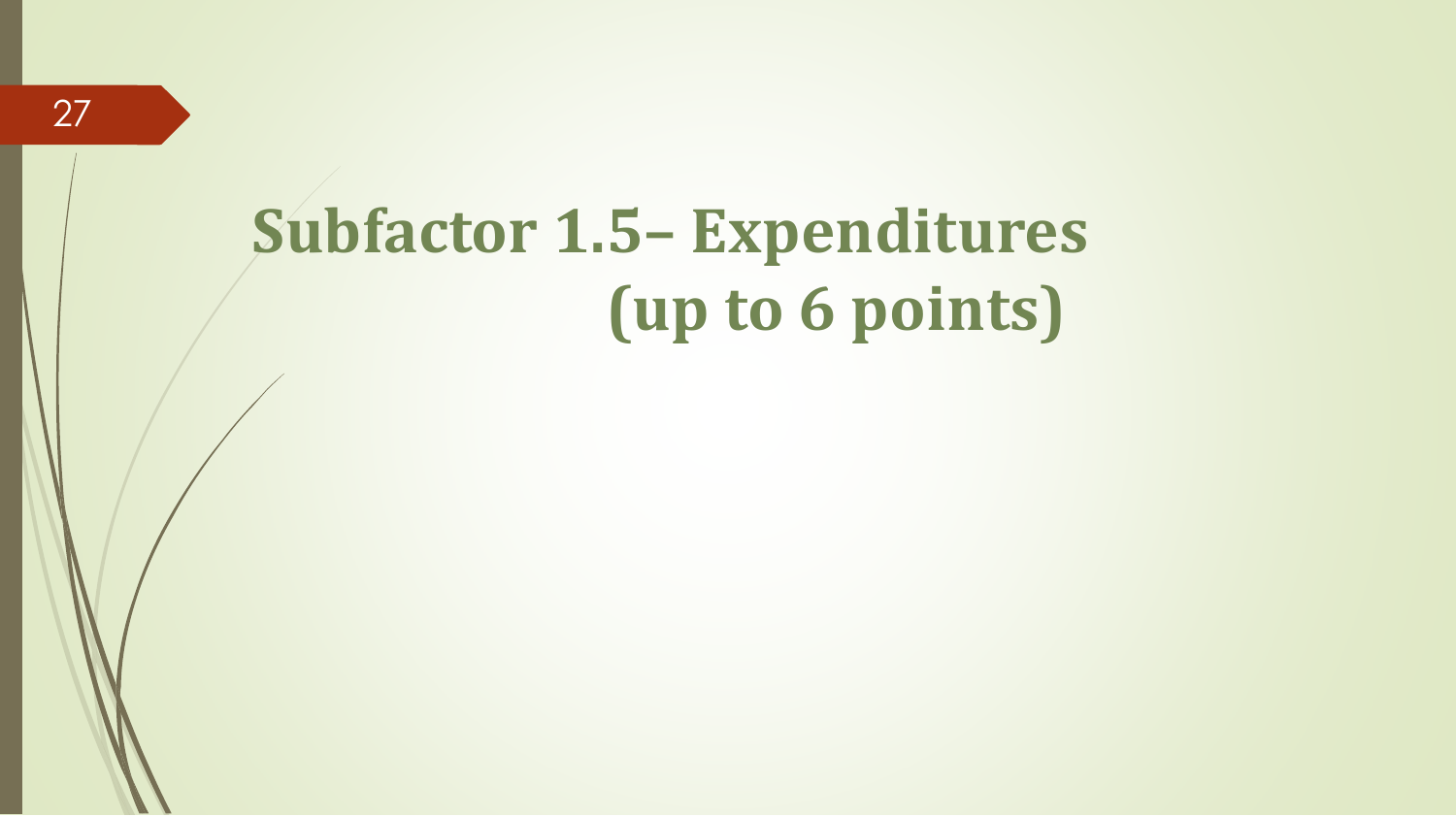## **Subfactor 1.5– Expenditures (up to 6 points)**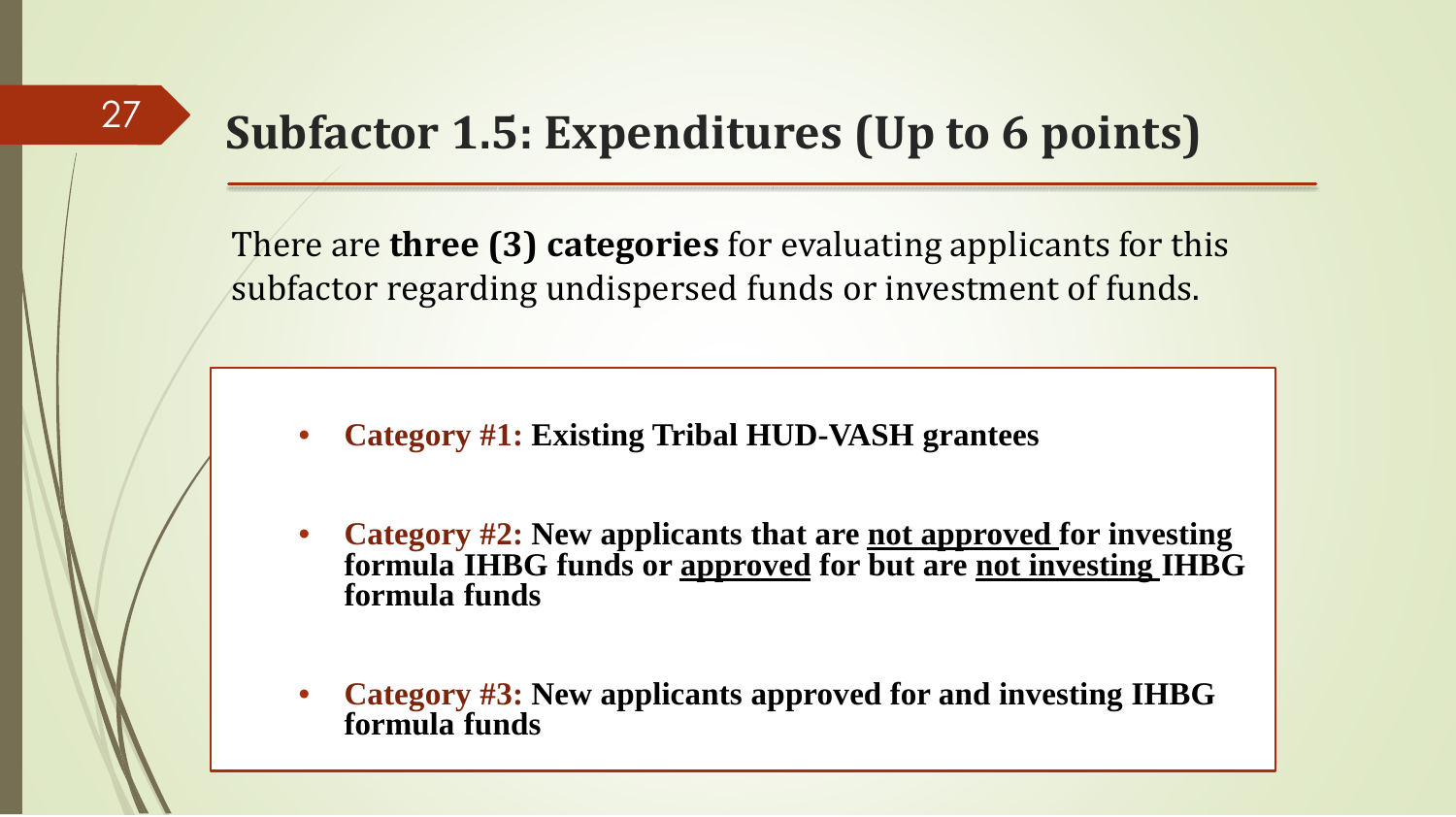### **Subfactor 1.5: Expenditures (Up to 6 points)**

There are **three (3) categories** for evaluating applicants for this subfactor regarding undispersed funds or investment of funds.

- **Category #1: Existing Tribal HUD-VASH grantees**
- **Category #2: New applicants that are not approved for investing formula IHBG funds or approved for but are not investing IHBG formula funds**
- **Category #3: New applicants approved for and investing IHBG formula funds**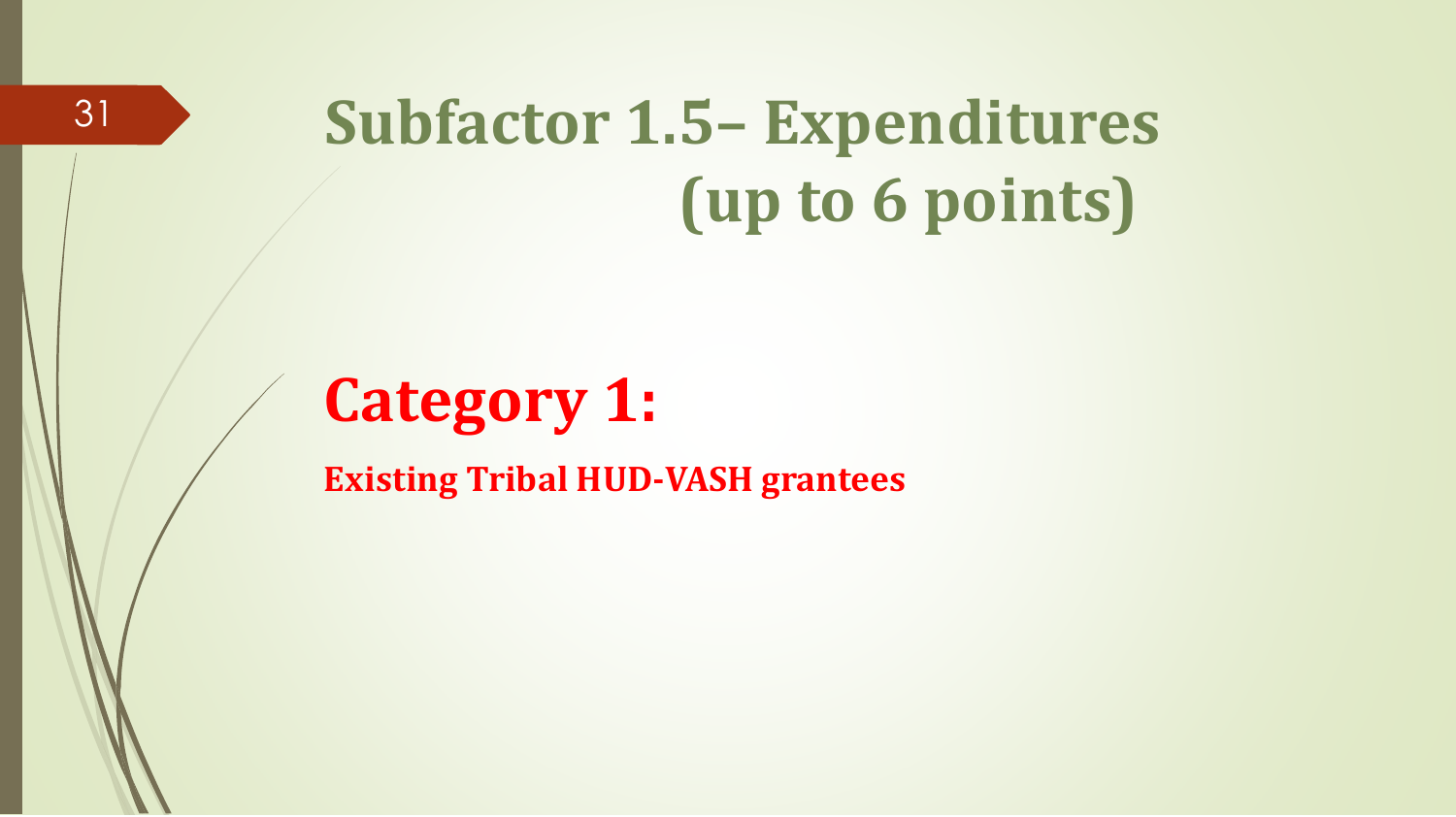## **Subfactor 1.5– Expenditures (up to 6 points)**

### **Category 1:**

**Existing Tribal HUD-VASH grantees**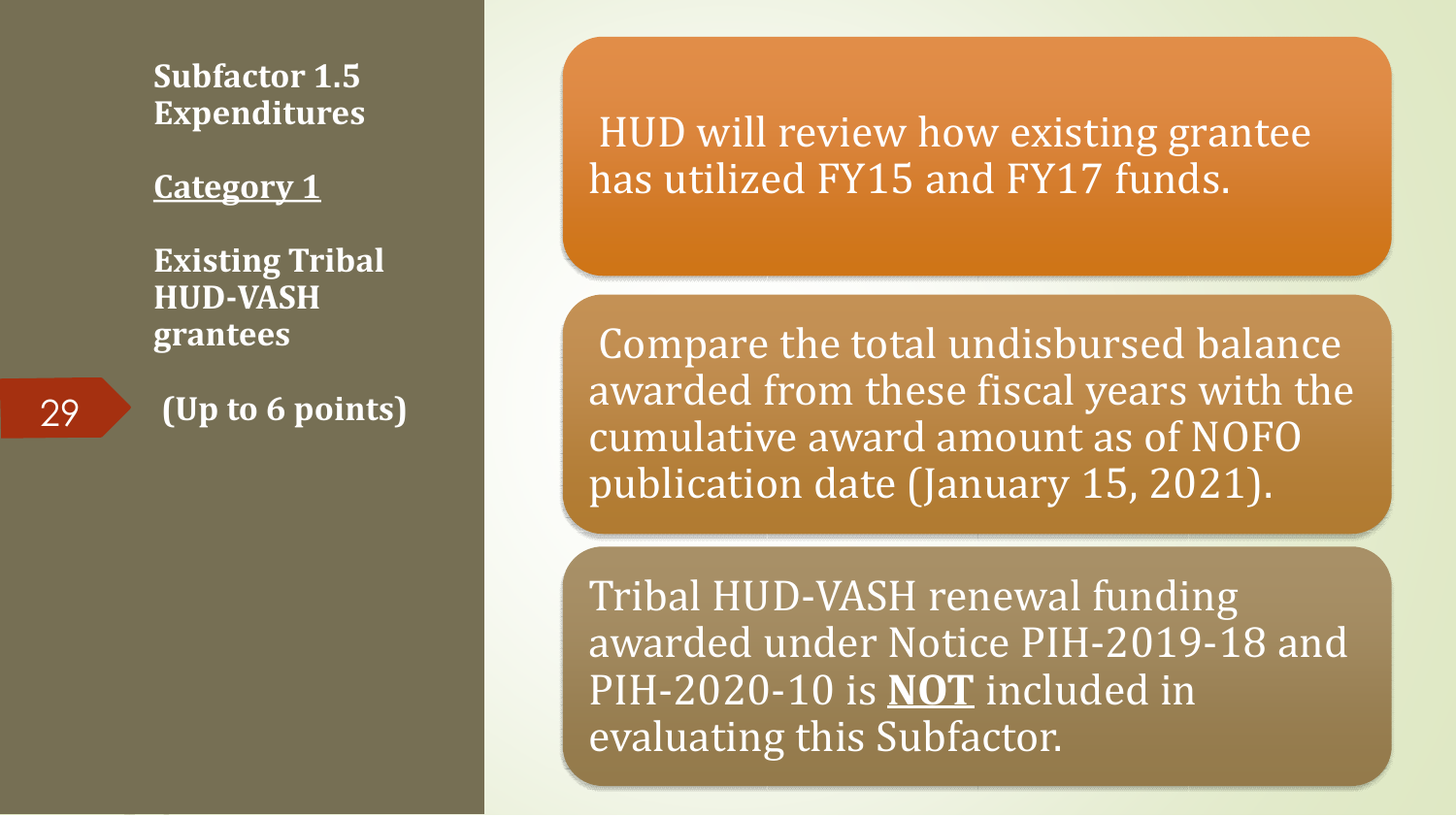**Subfactor 1.5 Expenditures** 

**Category 1**

**Existing Tribal HUD-VASH grantees**

29 **(Up to 6 points)**

HUD will review how existing grantee has utilized FY15 and FY17 funds.

Compare the total undisbursed balance awarded from these fiscal years with the cumulative award amount as of NOFO publication date (January 15, 2021).

Tribal HUD-VASH renewal funding awarded under Notice PIH-2019-18 and PIH-2020-10 is **NOT** included in evaluating this Subfactor.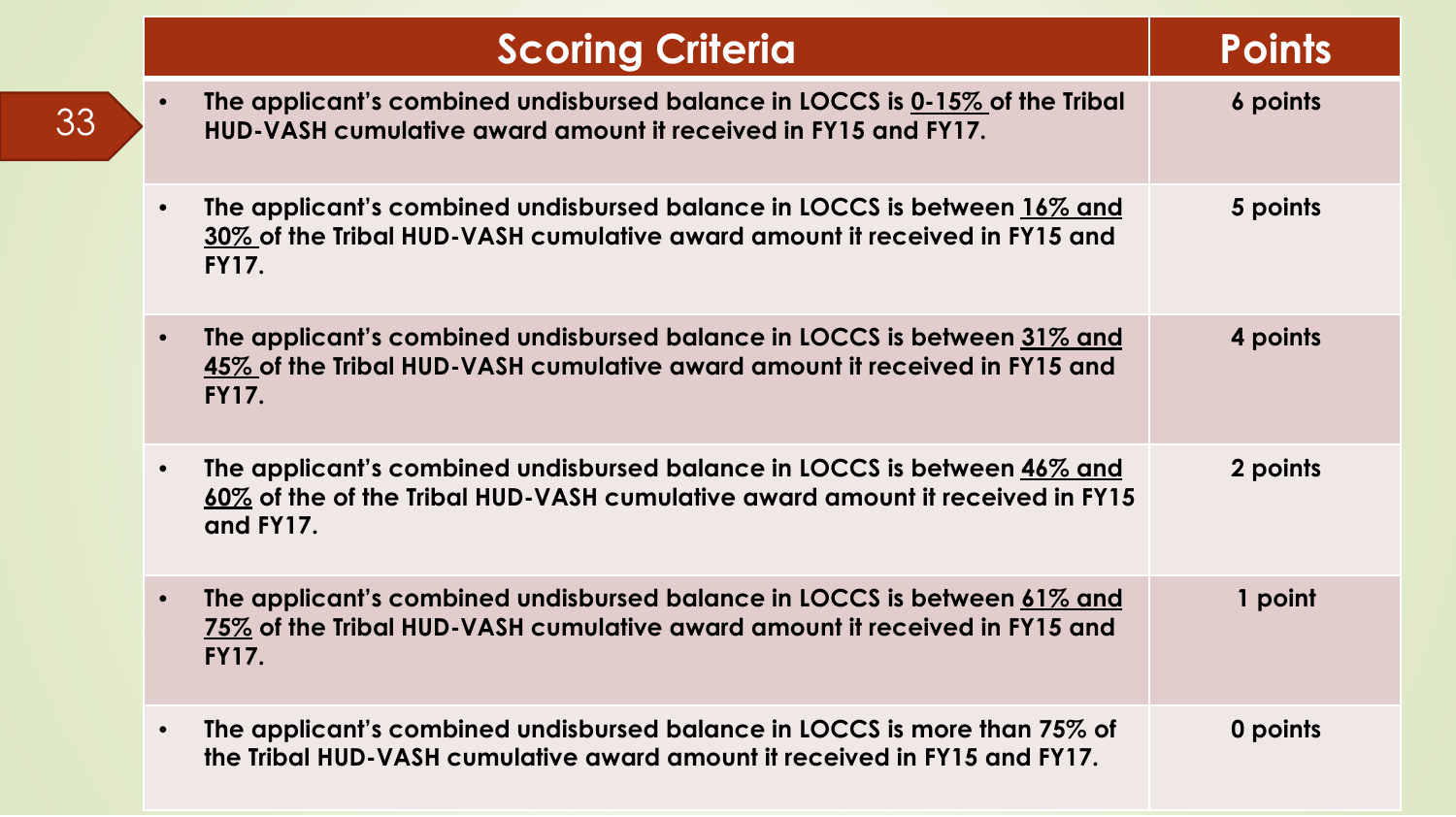|           | <b>Scoring Criteria</b>                                                                                                                                                | <b>Points</b> |
|-----------|------------------------------------------------------------------------------------------------------------------------------------------------------------------------|---------------|
|           | The applicant's combined undisbursed balance in LOCCS is 0-15% of the Tribal<br>HUD-VASH cumulative award amount it received in FY15 and FY17.                         | 6 points      |
|           | The applicant's combined undisbursed balance in LOCCS is between 16% and<br>30% of the Tribal HUD-VASH cumulative award amount it received in FY15 and<br><b>FY17.</b> | 5 points      |
| $\bullet$ | The applicant's combined undisbursed balance in LOCCS is between 31% and<br>45% of the Tribal HUD-VASH cumulative award amount it received in FY15 and<br><b>FY17.</b> | 4 points      |
| $\bullet$ | The applicant's combined undisbursed balance in LOCCS is between 46% and<br>60% of the of the Tribal HUD-VASH cumulative award amount it received in FY15<br>and FY17. | 2 points      |
| $\bullet$ | The applicant's combined undisbursed balance in LOCCS is between 61% and<br>75% of the Tribal HUD-VASH cumulative award amount it received in FY15 and<br><b>FY17.</b> | 1 point       |
| $\bullet$ | The applicant's combined undisbursed balance in LOCCS is more than 75% of<br>the Tribal HUD-VASH cumulative award amount it received in FY15 and FY17.                 | 0 points      |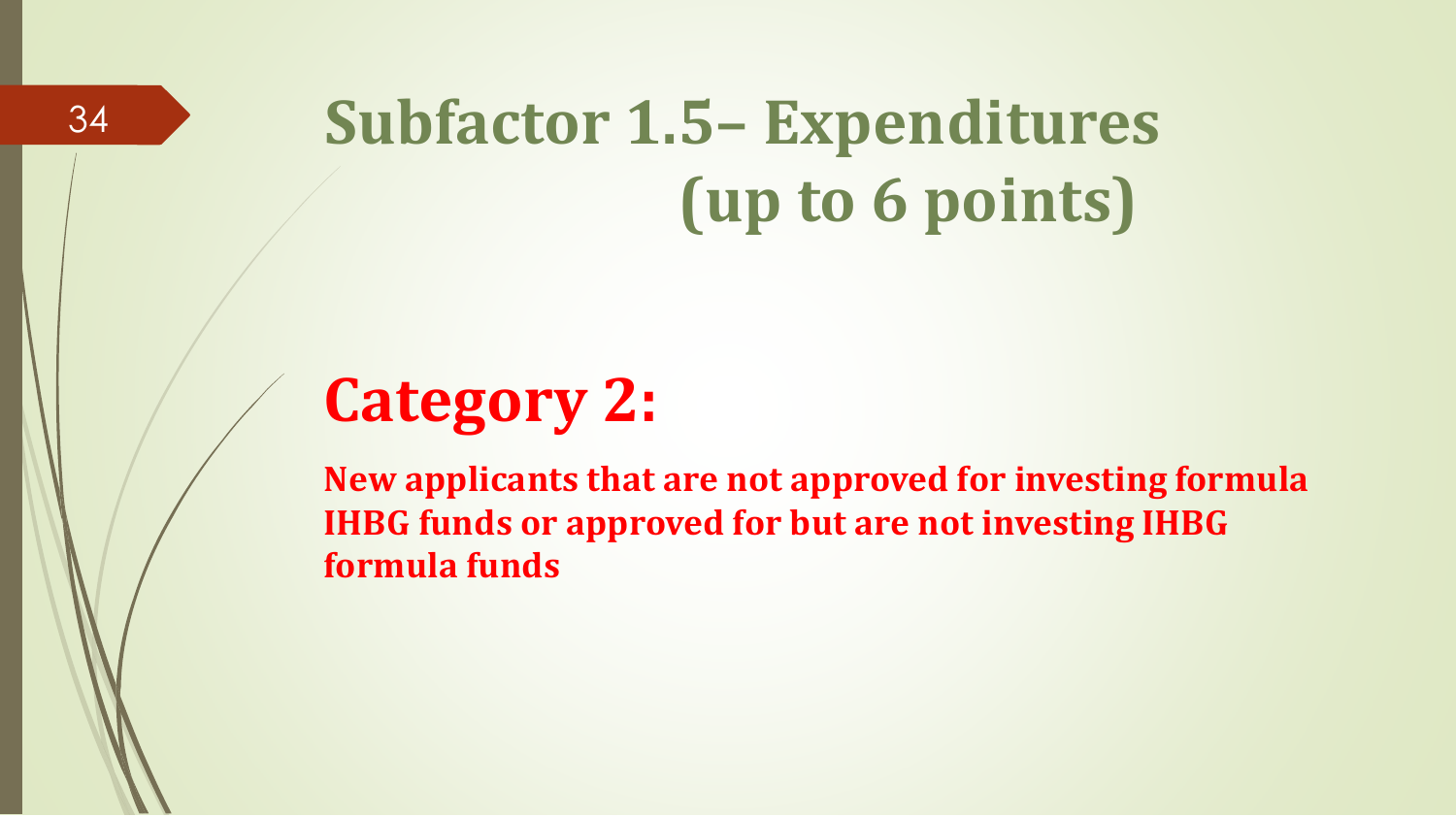## **Subfactor 1.5– Expenditures (up to 6 points)**

### **Category 2:**

**New applicants that are not approved for investing formula IHBG funds or approved for but are not investing IHBG formula funds**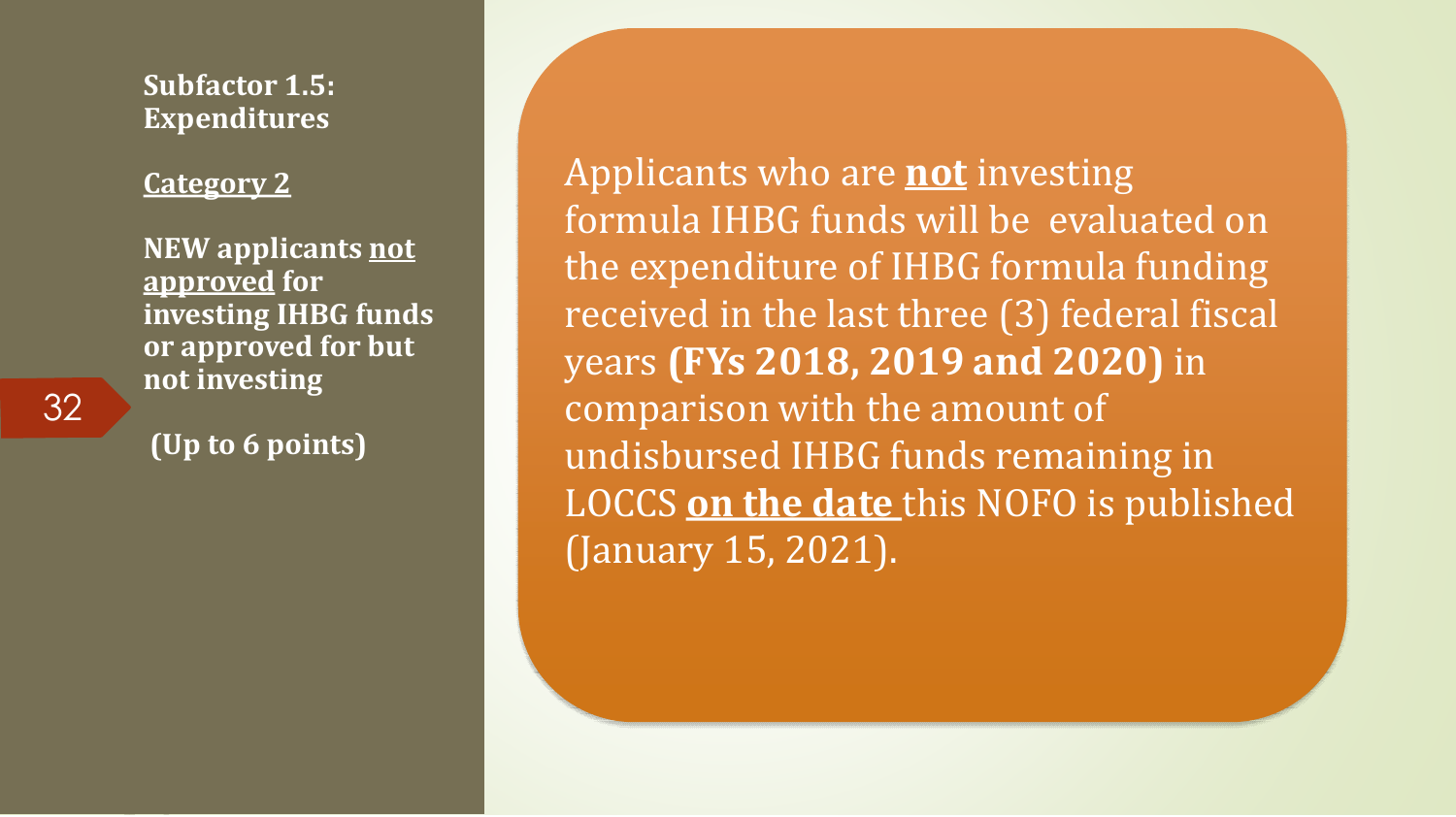**Subfactor 1.5: Expenditures** 

#### **Category 2**

**NEW applicants not approved for investing IHBG funds or approved for but not investing**

**(Up to 6 points)**

Applicants who are **not** investing formula IHBG funds will be evaluated on the expenditure of IHBG formula funding received in the last three (3) federal fiscal years **(FYs 2018, 2019 and 2020)** in comparison with the amount of undisbursed IHBG funds remaining in LOCCS **on the date** this NOFO is published (January 15, 2021).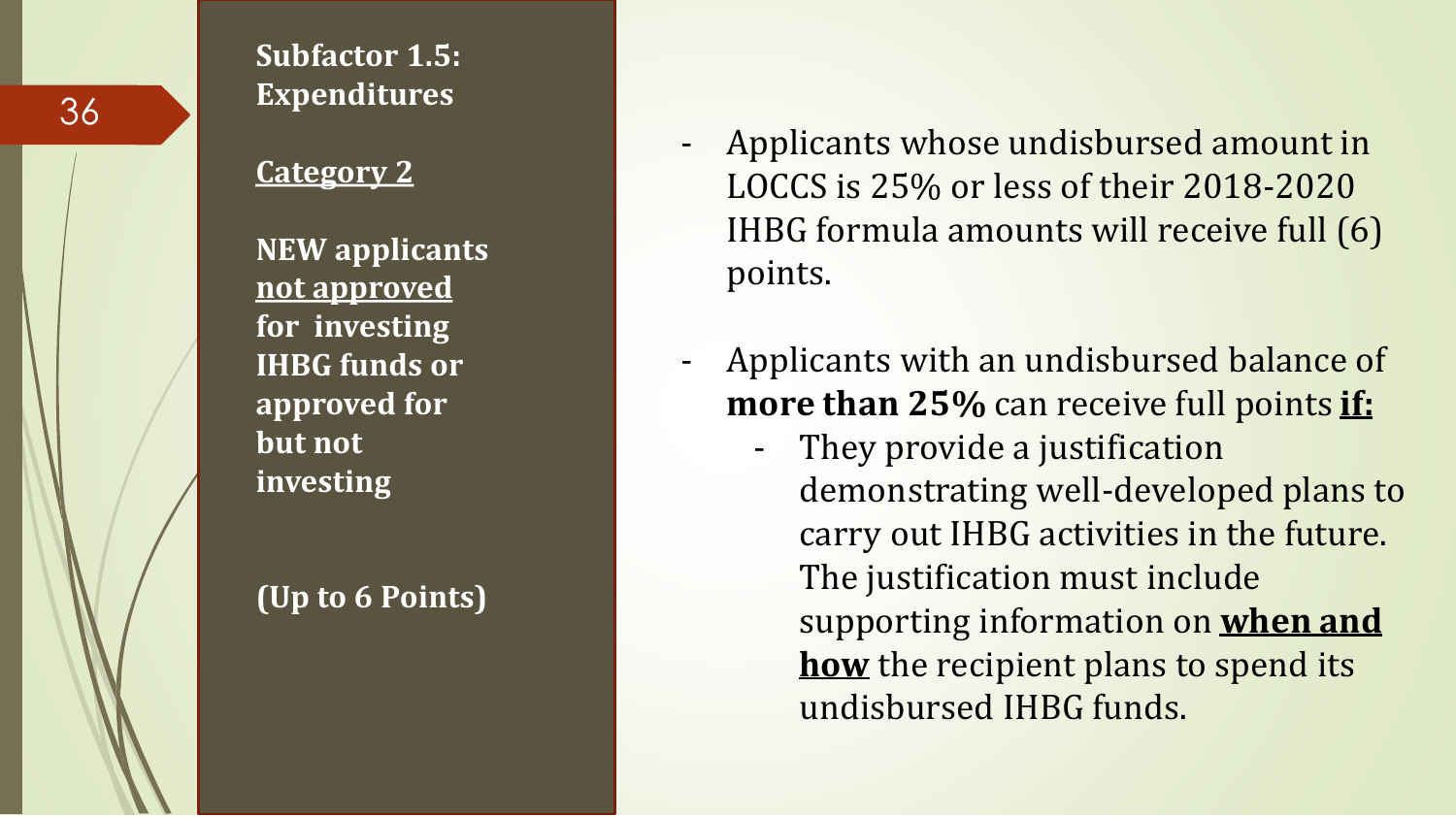

#### **Subfactor 1.5: Expenditures**

#### **Category 2**

**NEW applicants not approved for investing IHBG funds or approved for but not investing** 

#### **(Up to 6 Points)**

- Applicants whose undisbursed amount in LOCCS is 25% or less of their 2018-2020 IHBG formula amounts will receive full (6) points.
- Applicants with an undisbursed balance of **more than 25%** can receive full points **if:**
	- They provide a justification demonstrating well-developed plans to carry out IHBG activities in the future. The justification must include supporting information on **when and how** the recipient plans to spend its undisbursed IHBG funds.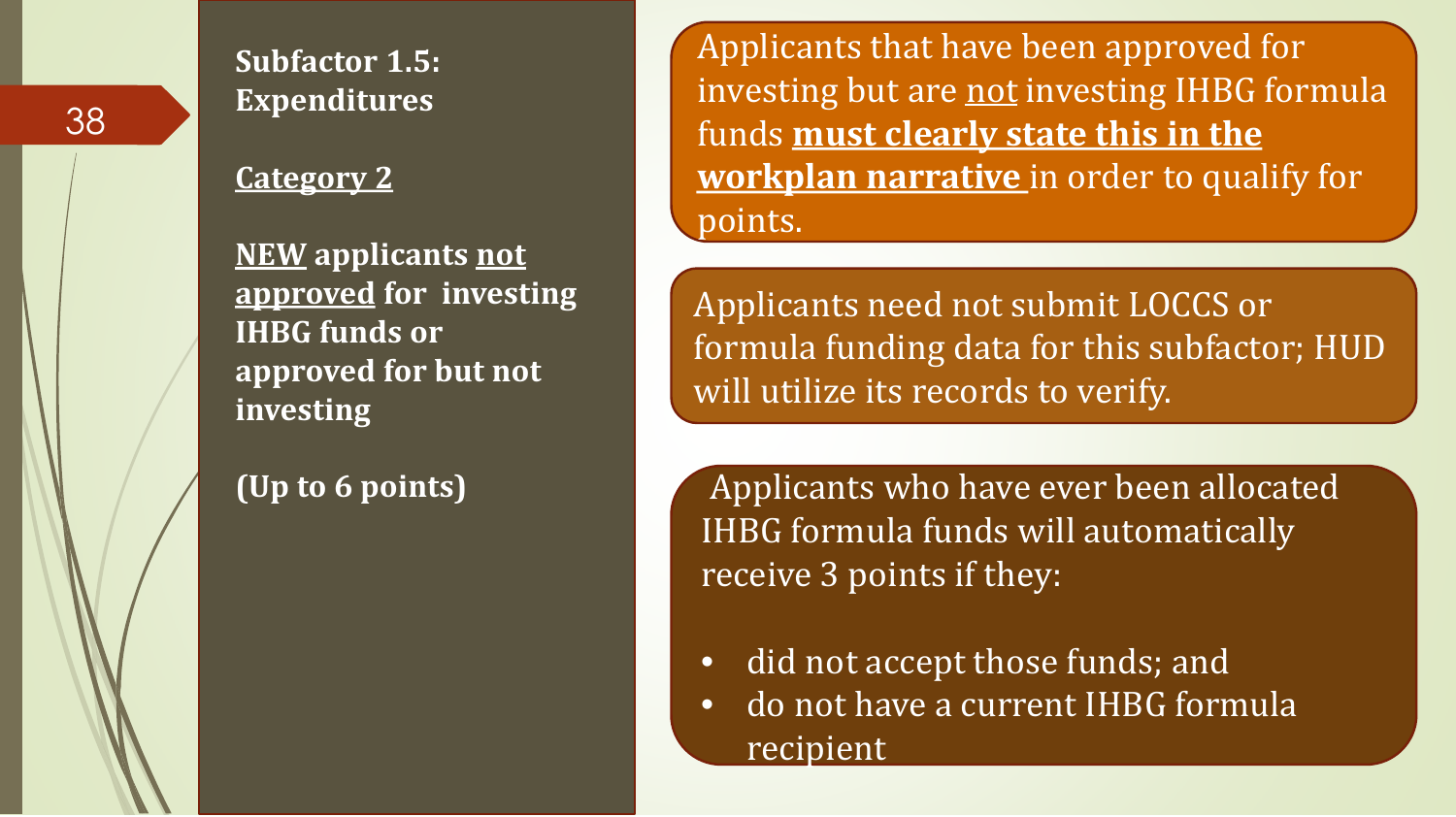

#### **Category 2**

**NEW applicants not approved for investing IHBG funds or approved for but not investing**

**(Up to 6 points)** 

Applicants that have been approved for investing but are not investing IHBG formula funds **must clearly state this in the workplan narrative** in order to qualify for points.

Applicants need not submit LOCCS or formula funding data for this subfactor; HUD will utilize its records to verify.

Applicants who have ever been allocated IHBG formula funds will automatically receive 3 points if they:

- did not accept those funds; and
- do not have a current IHBG formula recipient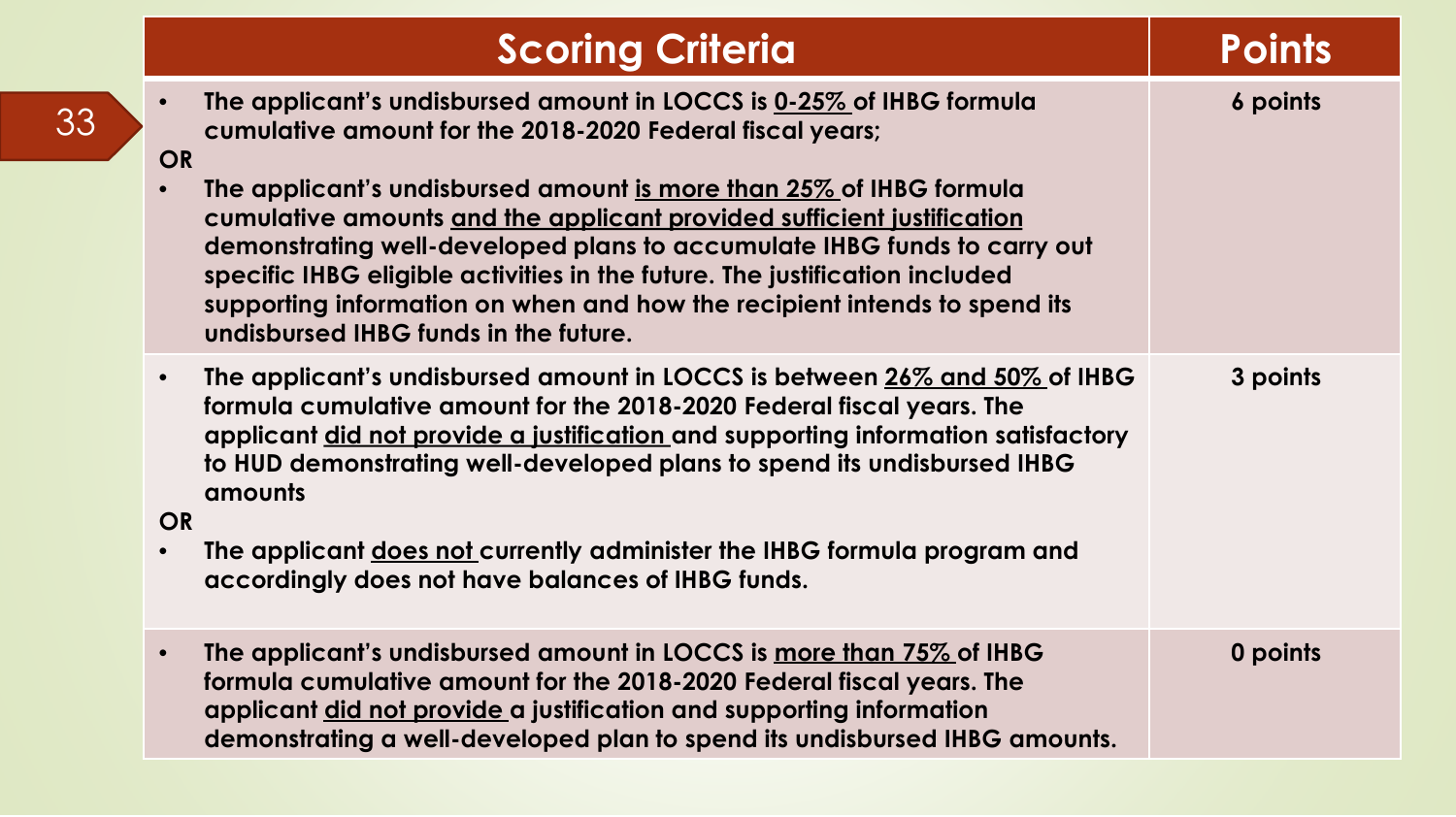| <b>Scoring Criteria</b>                                                                                                                                                                                                                                                                                                                                                                                                                                                                                                                                                                                    | Points   |
|------------------------------------------------------------------------------------------------------------------------------------------------------------------------------------------------------------------------------------------------------------------------------------------------------------------------------------------------------------------------------------------------------------------------------------------------------------------------------------------------------------------------------------------------------------------------------------------------------------|----------|
| The applicant's undisbursed amount in LOCCS is 0-25% of IHBG formula<br>$\bullet$<br>cumulative amount for the 2018-2020 Federal fiscal years;<br><b>OR</b><br>The applicant's undisbursed amount is more than 25% of IHBG formula<br>$\bullet$<br>cumulative amounts and the applicant provided sufficient justification<br>demonstrating well-developed plans to accumulate IHBG funds to carry out<br>specific IHBG eligible activities in the future. The justification included<br>supporting information on when and how the recipient intends to spend its<br>undisbursed IHBG funds in the future. | 6 points |
| The applicant's undisbursed amount in LOCCS is between 26% and 50% of IHBG<br>$\bullet$<br>formula cumulative amount for the 2018-2020 Federal fiscal years. The<br>applicant did not provide a justification and supporting information satisfactory<br>to HUD demonstrating well-developed plans to spend its undisbursed IHBG<br>amounts<br><b>OR</b><br>The applicant does not currently administer the IHBG formula program and<br>$\bullet$<br>accordingly does not have balances of IHBG funds.                                                                                                     | 3 points |
| The applicant's undisbursed amount in LOCCS is more than 75% of IHBG<br>$\bullet$<br>formula cumulative amount for the 2018-2020 Federal fiscal years. The<br>applicant did not provide a justification and supporting information<br>demonstrating a well-developed plan to spend its undisbursed IHBG amounts.                                                                                                                                                                                                                                                                                           | 0 points |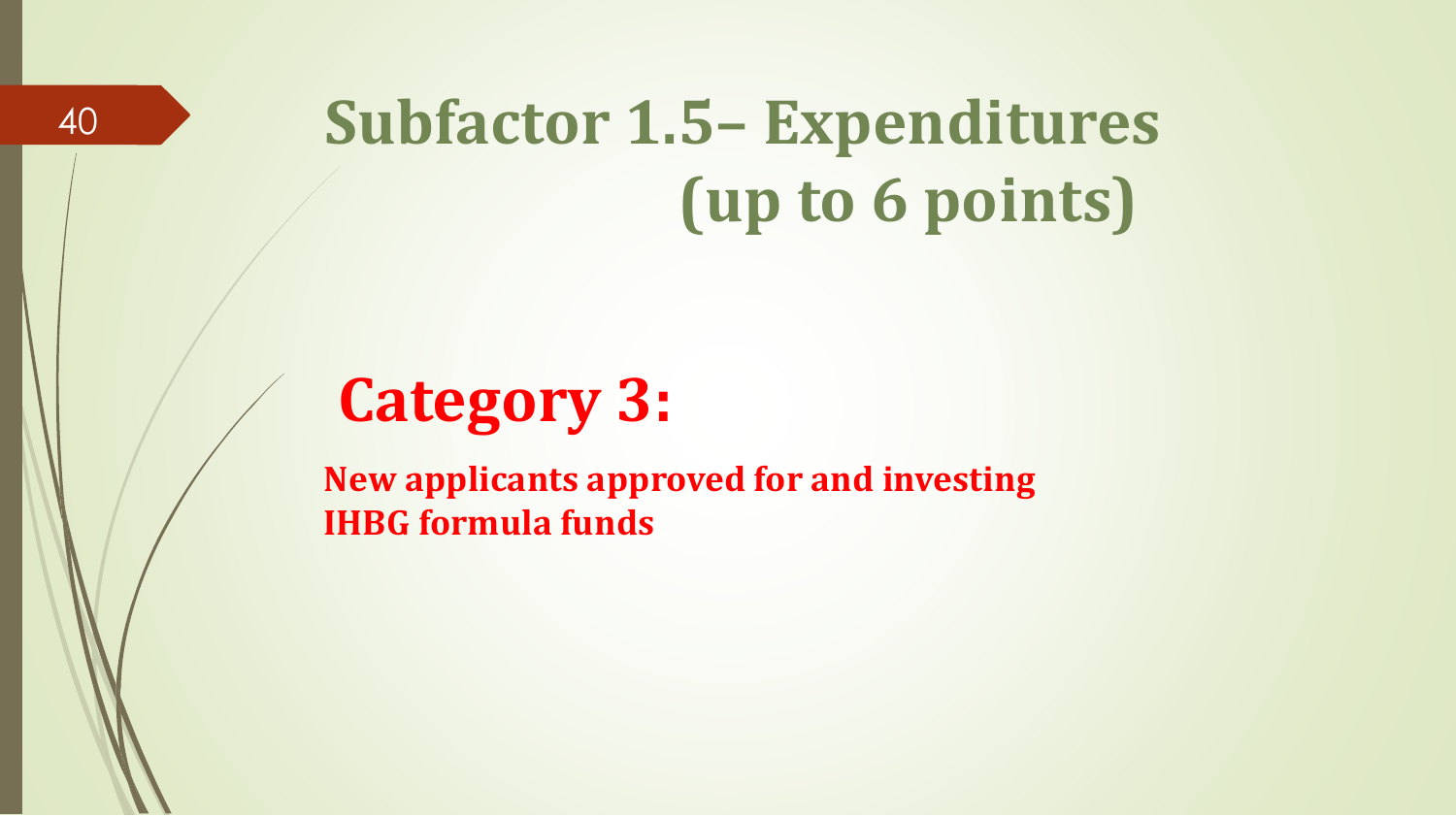## **Subfactor 1.5– Expenditures (up to 6 points)**

### **Category 3:**

**New applicants approved for and investing IHBG formula funds**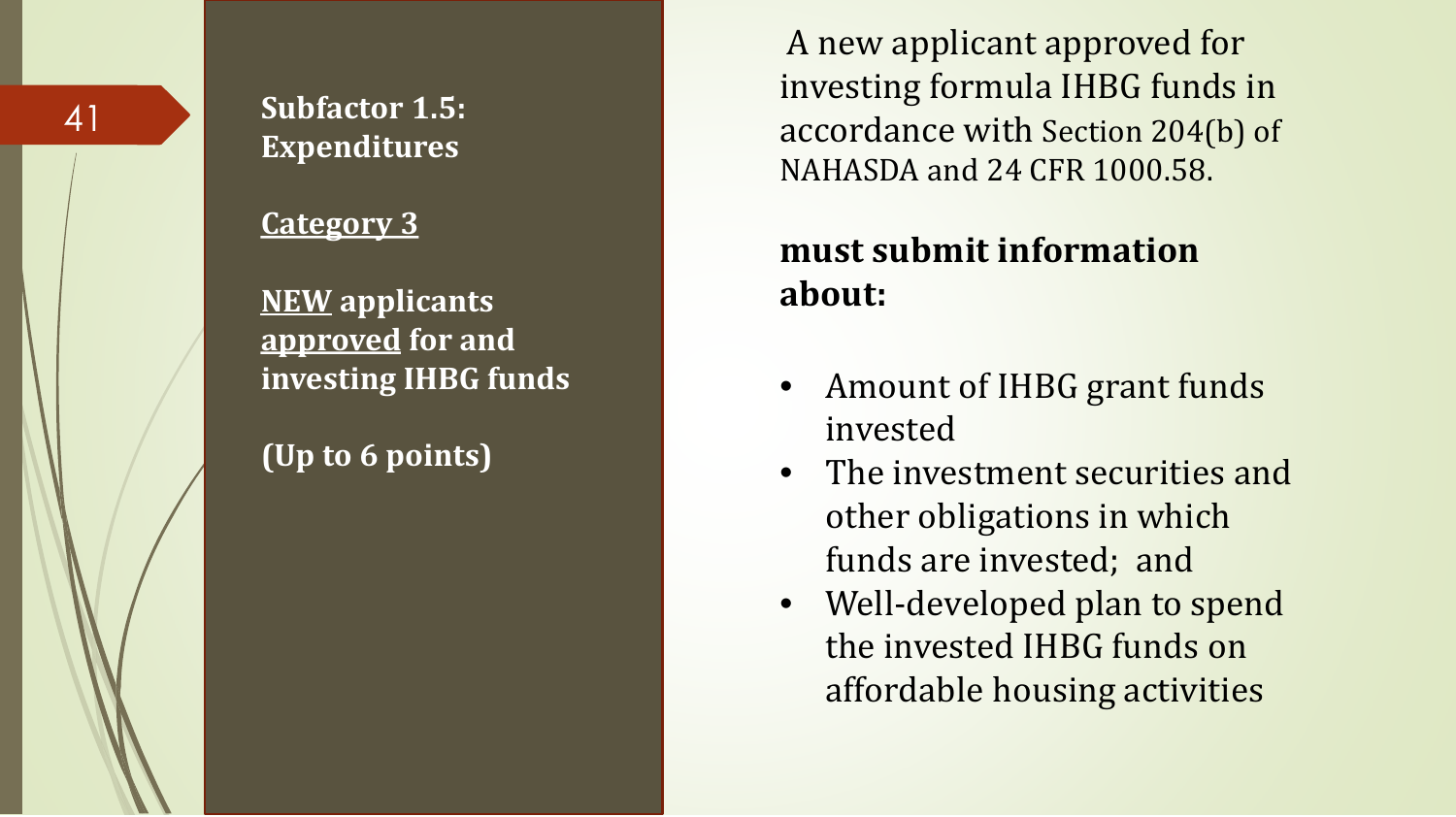#### **Subfactor 1.5: Expenditures**

#### **Category 3**

**NEW applicants approved for and investing IHBG funds** 

**(Up to 6 points)** 

A new applicant approved for investing formula IHBG funds in accordance with Section 204(b) of NAHASDA and 24 CFR 1000.58.

#### **must submit information about:**

- Amount of IHBG grant funds invested
- The investment securities and other obligations in which funds are invested; and
- Well-developed plan to spend the invested IHBG funds on affordable housing activities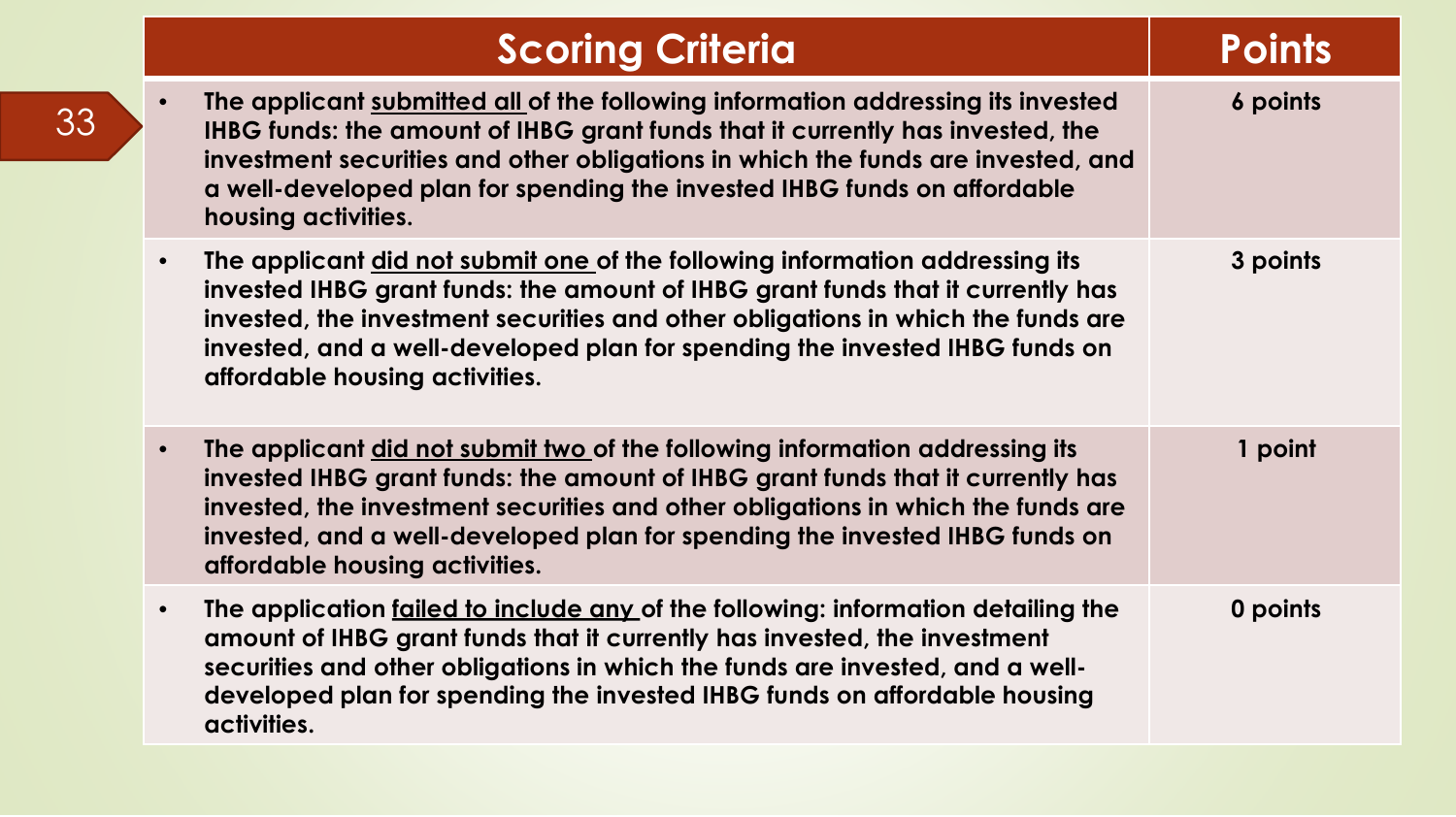| <b>Scoring Criteria</b>                                                                                                                                                                                                                                                                                                                                                           | <b>Points</b> |
|-----------------------------------------------------------------------------------------------------------------------------------------------------------------------------------------------------------------------------------------------------------------------------------------------------------------------------------------------------------------------------------|---------------|
| The applicant submitted all of the following information addressing its invested<br>$\bullet$<br>IHBG funds: the amount of IHBG grant funds that it currently has invested, the<br>investment securities and other obligations in which the funds are invested, and<br>a well-developed plan for spending the invested IHBG funds on affordable<br>housing activities.            | 6 points      |
| The applicant did not submit one of the following information addressing its<br>$\bullet$<br>invested IHBG grant funds: the amount of IHBG grant funds that it currently has<br>invested, the investment securities and other obligations in which the funds are<br>invested, and a well-developed plan for spending the invested IHBG funds on<br>affordable housing activities. | 3 points      |
| The applicant did not submit two of the following information addressing its<br>$\bullet$<br>invested IHBG grant funds: the amount of IHBG grant funds that it currently has<br>invested, the investment securities and other obligations in which the funds are<br>invested, and a well-developed plan for spending the invested IHBG funds on<br>affordable housing activities. | 1 point       |
| The application failed to include any of the following: information detailing the<br>$\bullet$<br>amount of IHBG grant funds that it currently has invested, the investment<br>securities and other obligations in which the funds are invested, and a well-<br>developed plan for spending the invested IHBG funds on affordable housing<br>activities.                          | 0 points      |